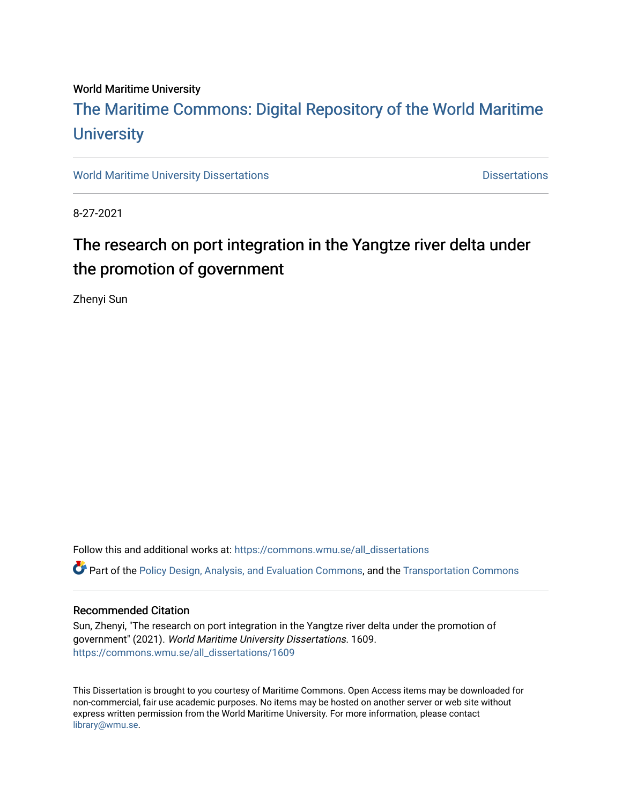### World Maritime University

# [The Maritime Commons: Digital Repository of the World Maritime](https://commons.wmu.se/)  **University**

[World Maritime University Dissertations](https://commons.wmu.se/all_dissertations) **Distributions** [Dissertations](https://commons.wmu.se/dissertations) Dissertations

8-27-2021

# The research on port integration in the Yangtze river delta under the promotion of government

Zhenyi Sun

Follow this and additional works at: [https://commons.wmu.se/all\\_dissertations](https://commons.wmu.se/all_dissertations?utm_source=commons.wmu.se%2Fall_dissertations%2F1609&utm_medium=PDF&utm_campaign=PDFCoverPages)  Part of the [Policy Design, Analysis, and Evaluation Commons](http://network.bepress.com/hgg/discipline/1032?utm_source=commons.wmu.se%2Fall_dissertations%2F1609&utm_medium=PDF&utm_campaign=PDFCoverPages), and the [Transportation Commons](http://network.bepress.com/hgg/discipline/1068?utm_source=commons.wmu.se%2Fall_dissertations%2F1609&utm_medium=PDF&utm_campaign=PDFCoverPages)

### Recommended Citation

Sun, Zhenyi, "The research on port integration in the Yangtze river delta under the promotion of government" (2021). World Maritime University Dissertations. 1609. [https://commons.wmu.se/all\\_dissertations/1609](https://commons.wmu.se/all_dissertations/1609?utm_source=commons.wmu.se%2Fall_dissertations%2F1609&utm_medium=PDF&utm_campaign=PDFCoverPages)

This Dissertation is brought to you courtesy of Maritime Commons. Open Access items may be downloaded for non-commercial, fair use academic purposes. No items may be hosted on another server or web site without express written permission from the World Maritime University. For more information, please contact [library@wmu.se](mailto:library@wmu.edu).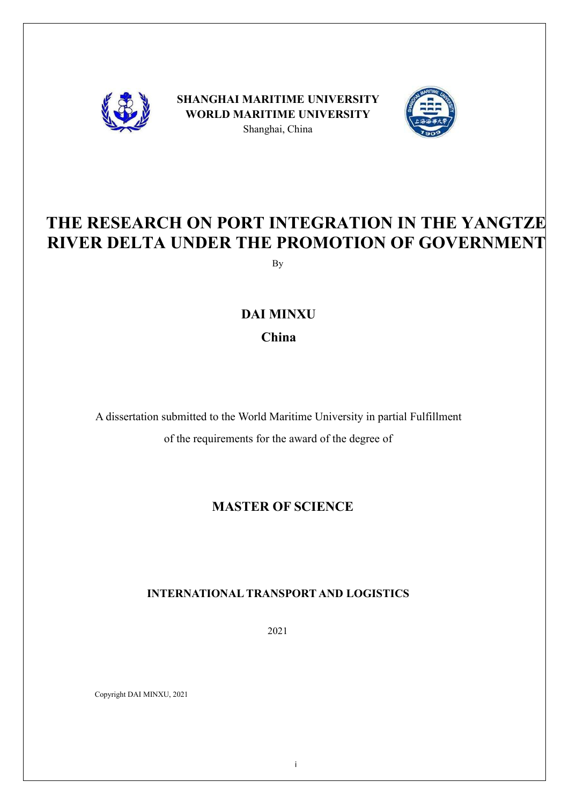

**SHANGHAI MARITIME UNIVERSITY WORLD MARITIME UNIVERSITY** Shanghai, China



# **THE RESEARCH ON PORT INTEGRATION IN THE YANGTZE RIVER DELTA UNDER THE PROMOTION OF GOVERNMENT**

By

# **DAI MINXU China**

A dissertation submitted to the World Maritime University in partial Fulfillment of the requirements for the award of the degree of

# **MASTER OF SCIENCE**

## **INTERNATIONAL TRANSPORT AND LOGISTICS**

2021

Copyright DAI MINXU, 2021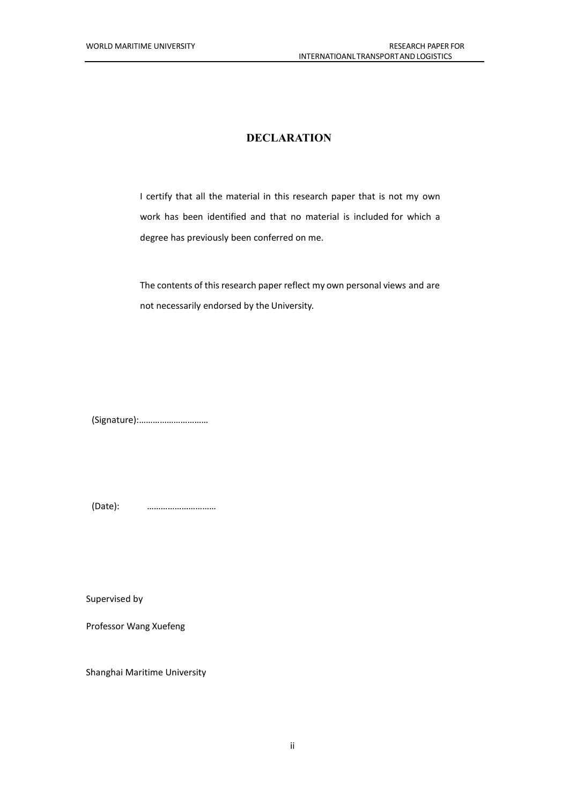### **DECLARATION**

I certify that all the material in this research paper that is not my own work has been identified and that no material is included for which a degree has previously been conferred on me.

The contents of this research paper reflect my own personal views and are not necessarily endorsed by the University.

(Signature):…………………………

(Date): …………………………

Supervised by

Professor Wang Xuefeng

Shanghai Maritime University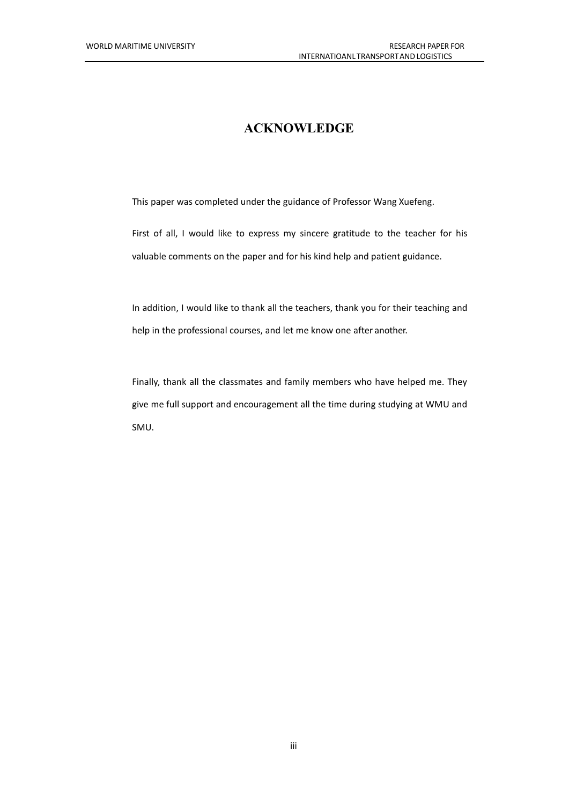## **ACKNOWLEDGE**

This paper was completed under the guidance of Professor Wang Xuefeng.

First of all, I would like to express my sincere gratitude to the teacher for his valuable comments on the paper and for his kind help and patient guidance.

In addition, I would like to thank all the teachers, thank you for their teaching and help in the professional courses, and let me know one after another.

Finally, thank all the classmates and family members who have helped me. They give me full support and encouragement all the time during studying at WMU and SMU.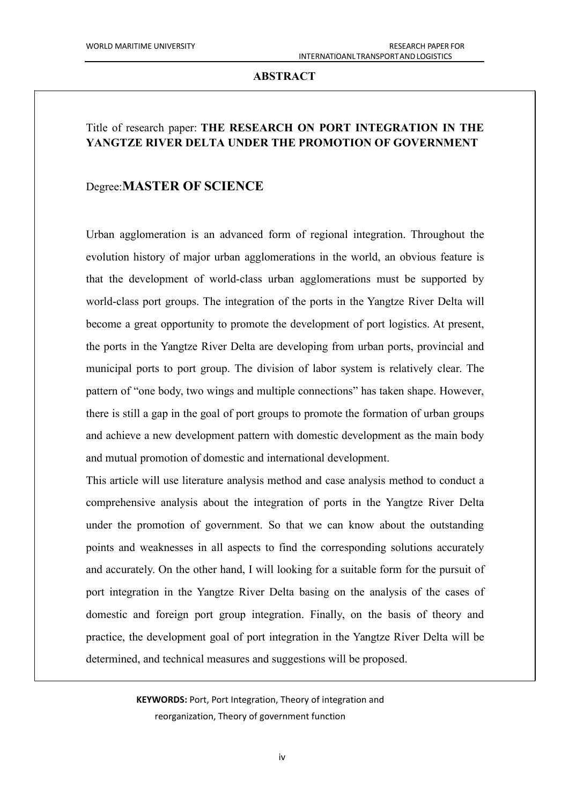### **ABSTRACT**

### Title of research paper: **THE RESEARCH ON PORT INTEGRATION IN THE YANGTZE RIVER DELTA UNDER THE PROMOTION OF GOVERNMENT**

### Degree:**MASTER OF SCIENCE**

Urban agglomeration is an advanced form of regional integration. Throughout the evolution history of major urban agglomerations in the world, an obvious feature is that the development of world-class urban agglomerations must be supported by world-class port groups. The integration of the ports in the Yangtze River Delta will become a great opportunity to promote the development of port logistics. At present, the ports in the Yangtze River Delta are developing from urban ports, provincial and municipal ports to port group. The division of labor system is relatively clear. The pattern of "one body, two wings and multiple connections" has taken shape. However, there is still a gap in the goal of port groups to promote the formation of urban groups and achieve a new development pattern with domestic development as the main body and mutual promotion of domestic and international development.

This article will use literature analysis method and case analysis method to conduct a comprehensive analysis about the integration of ports in the Yangtze River Delta under the promotion of government. So that we can know about the outstanding points and weaknesses in all aspects to find the corresponding solutions accurately and accurately. On the other hand, I will looking for a suitable form for the pursuit of port integration in the Yangtze River Delta basing on the analysis of the cases of domestic and foreign port group integration. Finally, on the basis of theory and practice, the development goal of port integration in the Yangtze River Delta will be determined, and technical measures and suggestions will be proposed.

> **KEYWORDS:** Port, Port Integration, Theory of integration and reorganization, Theory of government function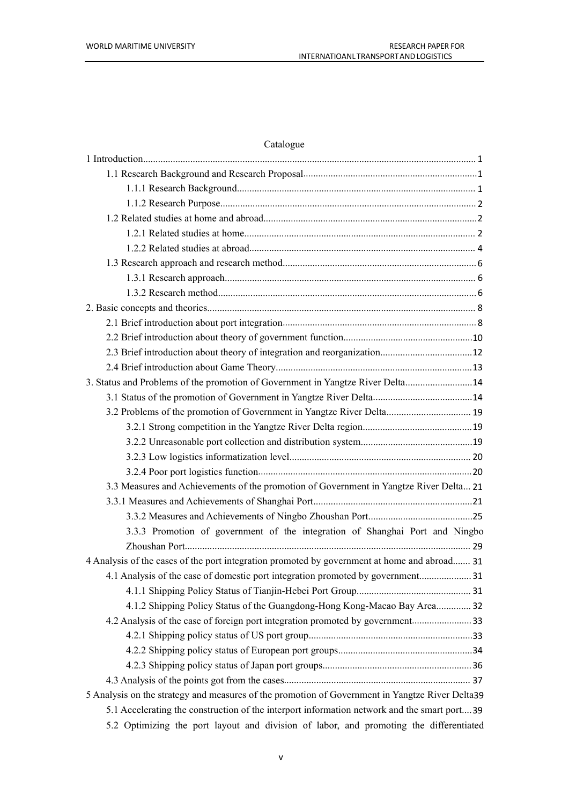## Catalogue

| 3. Status and Problems of the promotion of Government in Yangtze River Delta 14                 |  |
|-------------------------------------------------------------------------------------------------|--|
|                                                                                                 |  |
| 3.2 Problems of the promotion of Government in Yangtze River Delta 19                           |  |
|                                                                                                 |  |
|                                                                                                 |  |
|                                                                                                 |  |
|                                                                                                 |  |
| 3.3 Measures and Achievements of the promotion of Government in Yangtze River Delta 21          |  |
|                                                                                                 |  |
|                                                                                                 |  |
| 3.3.3 Promotion of government of the integration of Shanghai Port and Ningbo                    |  |
|                                                                                                 |  |
| 4 Analysis of the cases of the port integration promoted by government at home and abroad 31    |  |
| 4.1 Analysis of the case of domestic port integration promoted by government31                  |  |
|                                                                                                 |  |
| 4.1.2 Shipping Policy Status of the Guangdong-Hong Kong-Macao Bay Area 32                       |  |
| 4.2 Analysis of the case of foreign port integration promoted by government 33                  |  |
|                                                                                                 |  |
|                                                                                                 |  |
|                                                                                                 |  |
|                                                                                                 |  |
| 5 Analysis on the strategy and measures of the promotion of Government in Yangtze River Delta39 |  |
| 5.1 Accelerating the construction of the interport information network and the smart port39     |  |
| 5.2 Optimizing the port layout and division of labor, and promoting the differentiated          |  |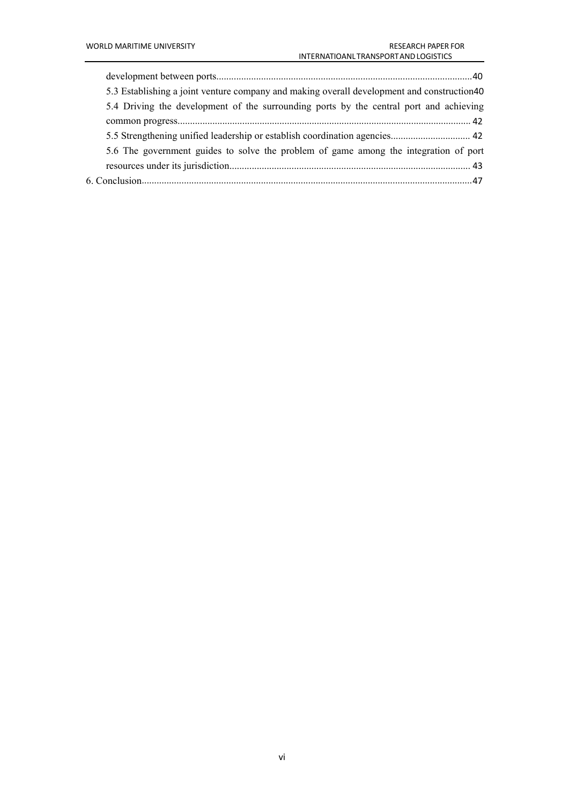| 5.3 Establishing a joint venture company and making overall development and construction40 |  |
|--------------------------------------------------------------------------------------------|--|
| 5.4 Driving the development of the surrounding ports by the central port and achieving     |  |
|                                                                                            |  |
|                                                                                            |  |
| 5.6 The government guides to solve the problem of game among the integration of port       |  |
|                                                                                            |  |
|                                                                                            |  |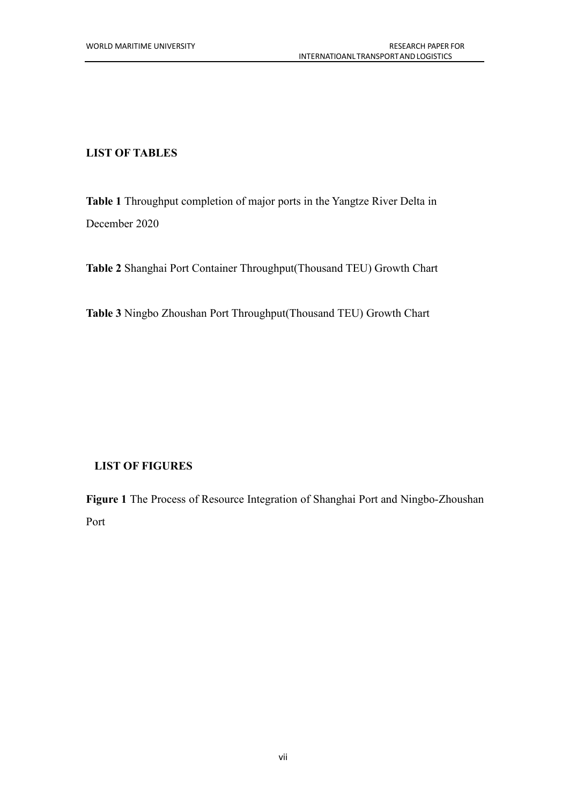### **LIST OF TABLES**

**Table 1** Throughput completion of major ports in the Yangtze River Delta in December 2020

**Table 2** Shanghai Port Container Throughput(Thousand TEU) Growth Chart

**Table 3** Ningbo Zhoushan Port Throughput(Thousand TEU) Growth Chart

## **LIST OF FIGURES**

**Figure 1** The Process of Resource Integration of Shanghai Port and Ningbo-Zhoushan Port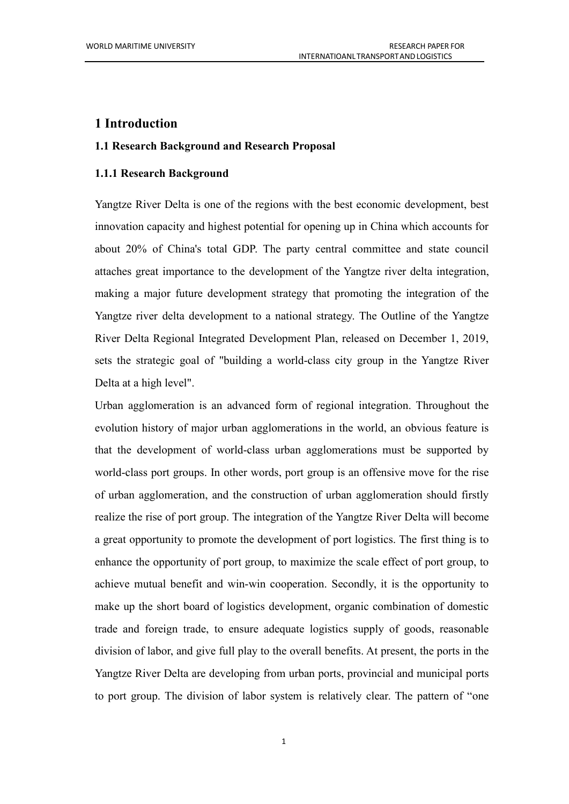### <span id="page-8-0"></span>**1 Introduction**

### <span id="page-8-1"></span>**1.1 Research Background and Research Proposal**

### <span id="page-8-2"></span>**1.1.1 Research Background**

Yangtze River Delta is one of the regions with the best economic development, best innovation capacity and highest potential for opening up in China which accounts for about 20% of China's total GDP. The party central committee and state council attaches great importance to the development of the Yangtze river delta integration, making a major future development strategy that promoting the integration of the Yangtze river delta development to a national strategy. The Outline of the Yangtze River Delta Regional Integrated Development Plan, released on December 1, 2019, sets the strategic goal of "building a world-class city group in the Yangtze River Delta at a high level".

Urban agglomeration is an advanced form of regional integration. Throughout the evolution history of major urban agglomerations in the world, an obvious feature is that the development of world-class urban agglomerations must be supported by world-class port groups. In other words, port group is an offensive move for the rise of urban agglomeration, and the construction of urban agglomeration should firstly realize the rise of port group. The integration of the Yangtze River Delta will become a great opportunity to promote the development of port logistics. The first thing is to enhance the opportunity of port group, to maximize the scale effect of port group, to achieve mutual benefit and win-win cooperation. Secondly, it is the opportunity to make up the short board of logistics development, organic combination of domestic trade and foreign trade, to ensure adequate logistics supply of goods, reasonable division of labor, and give full play to the overall benefits. At present, the ports in the Yangtze River Delta are developing from urban ports, provincial and municipal ports to port group. The division of labor system is relatively clear. The pattern of "one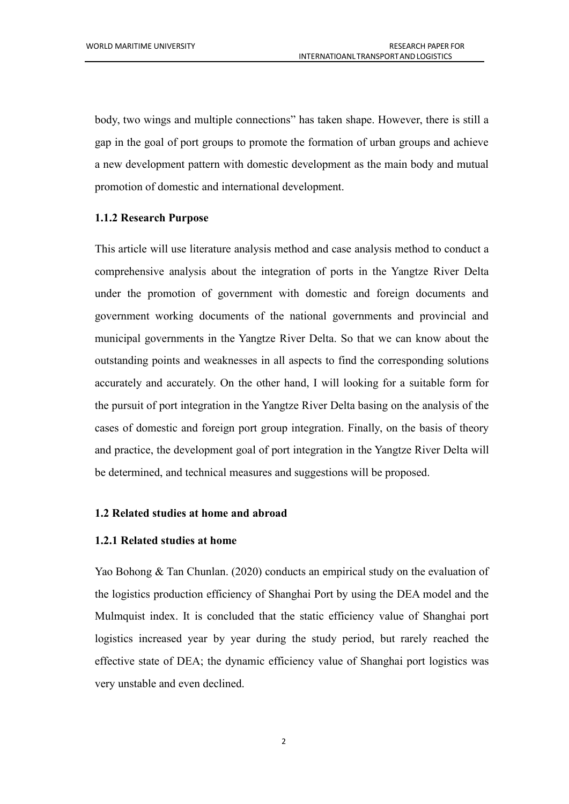body, two wings and multiple connections" has taken shape. However, there is still a gap in the goal of port groups to promote the formation of urban groups and achieve a new development pattern with domestic development as the main body and mutual promotion of domestic and international development.

### <span id="page-9-0"></span>**1.1.2 Research Purpose**

This article will use literature analysis method and case analysis method to conduct a comprehensive analysis about the integration of ports in the Yangtze River Delta under the promotion of government with domestic and foreign documents and government working documents of the national governments and provincial and municipal governments in the Yangtze River Delta. So that we can know about the outstanding points and weaknesses in all aspects to find the corresponding solutions accurately and accurately. On the other hand, I will looking for a suitable form for the pursuit of port integration in the Yangtze River Delta basing on the analysis of the cases of domestic and foreign port group integration. Finally, on the basis of theory and practice, the development goal of port integration in the Yangtze River Delta will be determined, and technical measures and suggestions will be proposed.

### <span id="page-9-1"></span>**1.2 Related studies athome and abroad**

### <span id="page-9-2"></span>**1.2.1 Related studies athome**

Yao Bohong & Tan Chunlan. (2020) conducts an empirical study on the evaluation of the logistics production efficiency of Shanghai Port by using the DEA model and the Mulmquist index. It is concluded that the static efficiency value of Shanghai port logistics increased year by year during the study period, but rarely reached the effective state of DEA; the dynamic efficiency value of Shanghai port logistics was very unstable and even declined.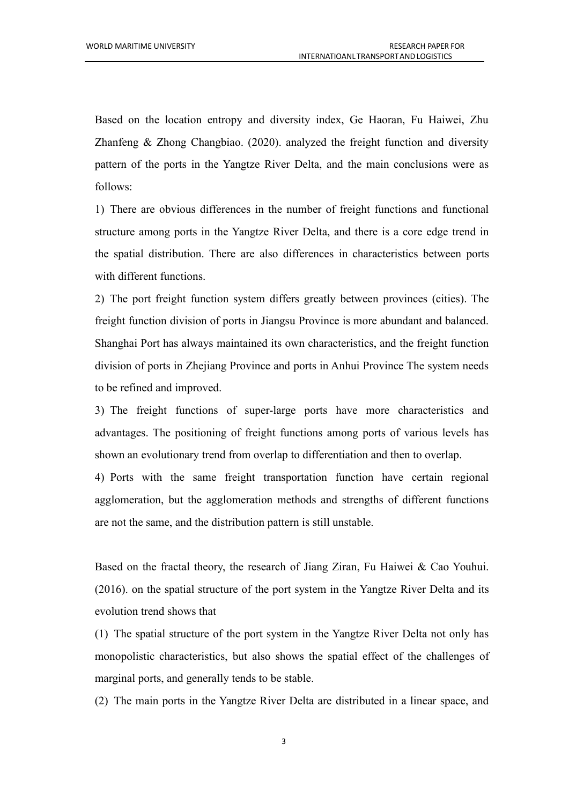Based on the location entropy and diversity index, Ge Haoran, Fu Haiwei, Zhu Zhanfeng & Zhong Changbiao. (2020). analyzed the freight function and diversity pattern of the ports in the Yangtze River Delta, and the main conclusions were as follows:

1) There are obvious differences in the number of freight functions and functional structure among ports in the Yangtze River Delta, and there is a core edge trend in the spatial distribution. There are also differences in characteristics between ports with different functions.

2) The port freight function system differs greatly between provinces (cities). The freight function division of ports in Jiangsu Province is more abundant and balanced. Shanghai Port has always maintained its own characteristics, and the freight function division of ports in Zhejiang Province and ports in Anhui Province The system needs to be refined and improved.

3) The freight functions of super-large ports have more characteristics and advantages. The positioning of freight functions among ports of various levels has shown an evolutionary trend from overlap to differentiation and then to overlap.

4) Ports with the same freight transportation function have certain regional agglomeration, but the agglomeration methods and strengths of different functions are not the same, and the distribution pattern is still unstable.

Based on the fractal theory, the research of Jiang Ziran, Fu Haiwei & Cao Youhui. (2016). on the spatial structure of the port system in the Yangtze River Delta and its evolution trend shows that

(1) The spatial structure of the port system in the Yangtze River Delta not only has monopolistic characteristics, but also shows the spatial effect of the challenges of marginal ports, and generally tends to be stable.

(2) The main ports in the Yangtze River Delta are distributed in a linear space, and

3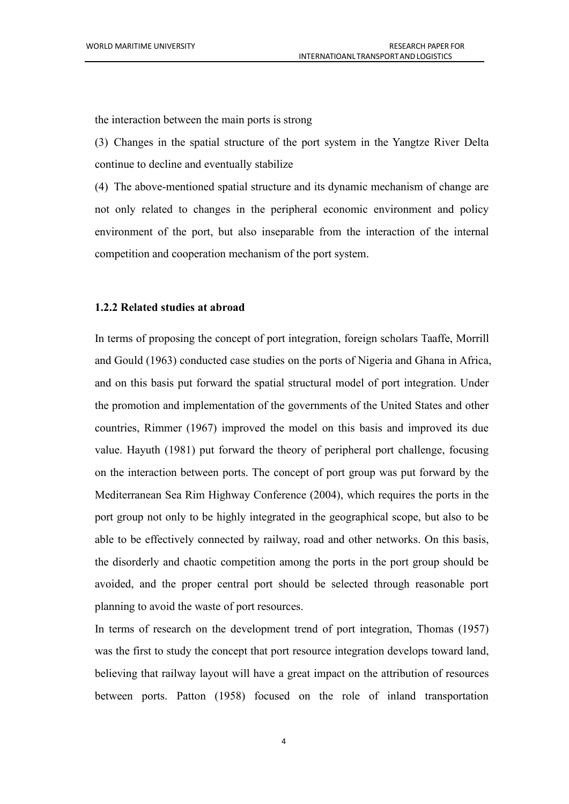the interaction between the main ports is strong

(3) Changes in the spatial structure of the port system in the Yangtze River Delta continue to decline and eventually stabilize

(4) The above-mentioned spatial structure and its dynamic mechanism of change are not only related to changes in the peripheral economic environment and policy environment of the port, but also inseparable from the interaction of the internal competition and cooperation mechanism of the port system.

### <span id="page-11-0"></span>**1.2.2 Related studies atabroad**

In terms of proposing the concept of port integration, foreign scholars Taaffe, Morrill and Gould (1963) conducted case studies on the ports of Nigeria and Ghana in Africa, and on this basis put forward the spatial structural model of port integration. Under the promotion and implementation of the governments of the United States and other countries, Rimmer (1967) improved the model on this basis and improved its due value. Hayuth (1981) put forward the theory of peripheral port challenge, focusing on the interaction between ports. The concept of port group was put forward by the Mediterranean Sea Rim Highway Conference (2004), which requires the ports in the port group not only to be highly integrated in the geographical scope, but also to be able to be effectively connected by railway, road and other networks. On this basis, the disorderly and chaotic competition among the ports in the port group should be avoided, and the proper central port should be selected through reasonable port planning to avoid the waste of port resources.

In terms of research on the development trend of port integration, Thomas (1957) was the first to study the concept that port resource integration develops toward land, believing that railway layout will have a great impact on the attribution of resources between ports. Patton (1958) focused on the role of inland transportation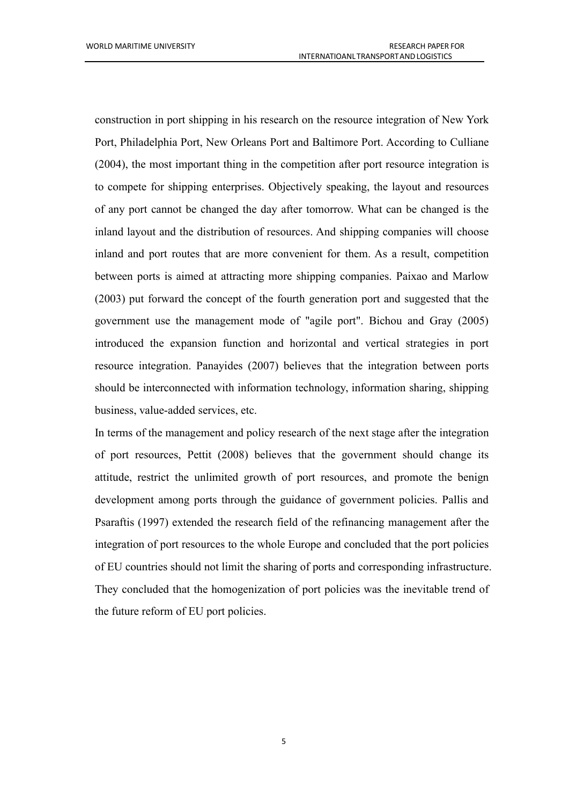construction in port shipping in his research on the resource integration of New York Port, Philadelphia Port, New Orleans Port and Baltimore Port. According to Culliane (2004), the most important thing in the competition after port resource integration is to compete for shipping enterprises. Objectively speaking, the layout and resources of any port cannot be changed the day after tomorrow. What can be changed is the inland layout and the distribution of resources. And shipping companies will choose inland and port routes that are more convenient for them. As a result, competition between ports is aimed at attracting more shipping companies. Paixao and Marlow (2003) put forward the concept of the fourth generation port and suggested that the government use the management mode of "agile port". Bichou and Gray (2005) introduced the expansion function and horizontal and vertical strategies in port resource integration. Panayides (2007) believes that the integration between ports should be interconnected with information technology, information sharing, shipping business, value-added services, etc.

In terms of the management and policy research of the next stage after the integration of port resources, Pettit (2008) believes that the government should change its attitude, restrict the unlimited growth of port resources, and promote the benign development among ports through the guidance of government policies. Pallis and Psaraftis (1997) extended the research field of the refinancing management after the integration of port resources to the whole Europe and concluded that the port policies of EU countries should not limit the sharing of ports and corresponding infrastructure. They concluded that the homogenization of port policies was the inevitable trend of the future reform of EU port policies.

5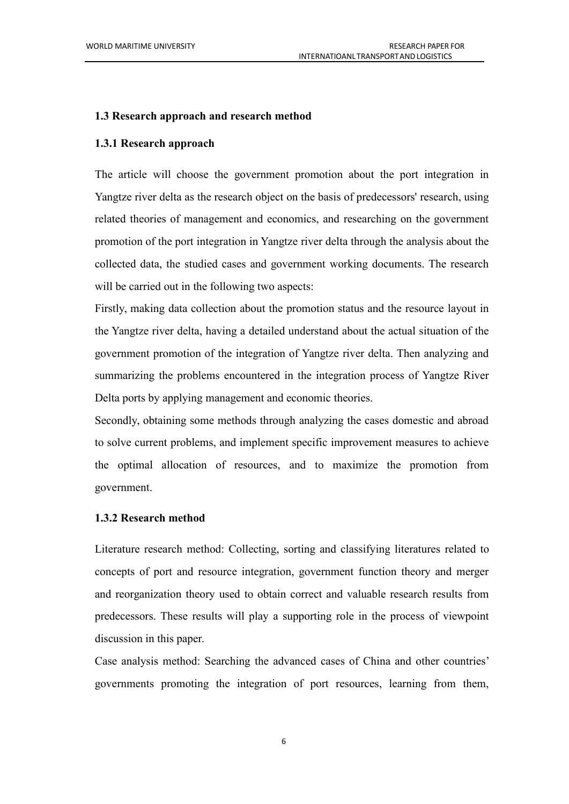#### <span id="page-13-0"></span>**1.3 Research approach and research method**

### <span id="page-13-1"></span>**1.3.1 Research approach**

The article will choose the government promotion about the port integration in Yangtze river delta as the research object on the basis of predecessors' research, using related theories of management and economics, and researching on the government promotion of the port integration in Yangtze riverdelta through the analysis about the collected data, the studied cases and government working documents. The research will be carried out in the following two aspects:

Firstly, making data collection about the promotion status and the resource layout in the Yangtze river delta, having a detailed understand about the actual situation of the government promotion of the integration of Yangtze river delta. Then analyzing and summarizing the problems encountered in the integration process of Yangtze River Delta ports by applying management and economic theories.<br>Secondly, obtaining some methods through analyzing the cases domestic and abroad

to solve current problems, and implement specific improvement measures to achieve the optimal allocation of resources, and to maximize the promotion from government.

### <span id="page-13-2"></span>**1.3.2 Research method**

Literature research method: Collecting, sorting and classifying literatures related to concepts of port and resource integration, government function theory and merger and reorganization theory used to obtain correct and valuable research results from predecessors. These results will play a supporting role in the process of viewpoint discussion in this paper.<br>Case analysis method: Searching the advanced cases of China and other countries'

governments promoting the integration of port resources, learning from them,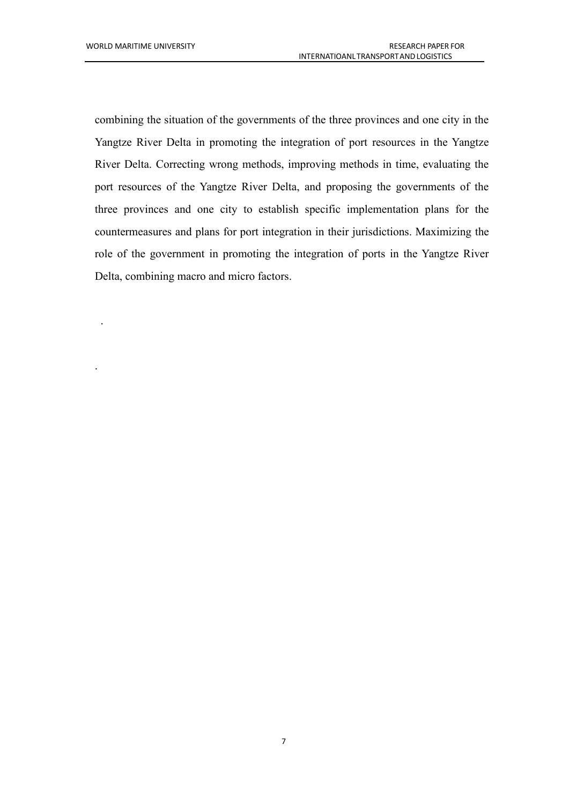.

.

combining the situation of the governments of the three provinces and one city in the Yangtze River Delta in promoting the integration of port resources in the Yangtze River Delta. Correcting wrong methods, improving methods in time, evaluating the port resources of the Yangtze River Delta, and proposing the governments of the three provinces and one city to establish specific implementation plans for the countermeasures and plans for port integration in their jurisdictions. Maximizing the role of the government in promoting the integration of ports in the Yangtze River Delta, combining macro and micro factors.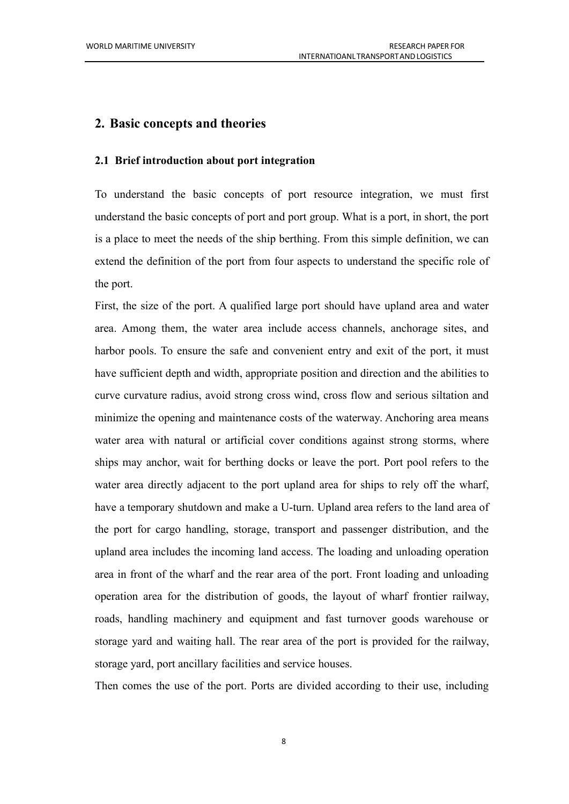### <span id="page-15-0"></span>**2. Basic concepts and theories**

### <span id="page-15-1"></span>**2.1 Brief introduction about port integration**

To understand the basic concepts of port resource integration, we must first understand the basic concepts of port and port group. What is a port, in short, the port is a place to meet the needs of the ship berthing. From this simple definition, we can extend the definition of the port from four aspects to understand the specific role of the port.

First, the size of the port. A qualified large port should have upland area and water area. Among them, the water area include access channels, anchorage sites, and harbor pools. To ensure the safe and convenient entry and exit of the port, it must have sufficient depth and width, appropriate position and direction and the abilities to curve curvature radius, avoid strong cross wind, cross flow and serious siltation and minimize the opening and maintenance costs of the waterway. Anchoring area means water area with natural or artificial cover conditions against strong storms, where ships may anchor, wait for berthing docks or leave the port. Port pool refers to the water area directly adjacent to the port upland area for ships to rely off the wharf, have a temporary shutdown and make a U-turn. Upland area refers to the land area of the port for cargo handling, storage, transport and passenger distribution, and the upland area includes the incoming land access. The loading and unloading operation area in front of the wharf and the rear area of the port. Front loading and unloading operation area for the distribution of goods, the layout of wharf frontier railway, roads, handling machinery and equipment and fast turnover goods warehouse or storage yard and waiting hall. The rear area of the port is provided for the railway, storage yard, port ancillary facilities and service houses.

Then comes the use of the port. Ports are divided according to their use, including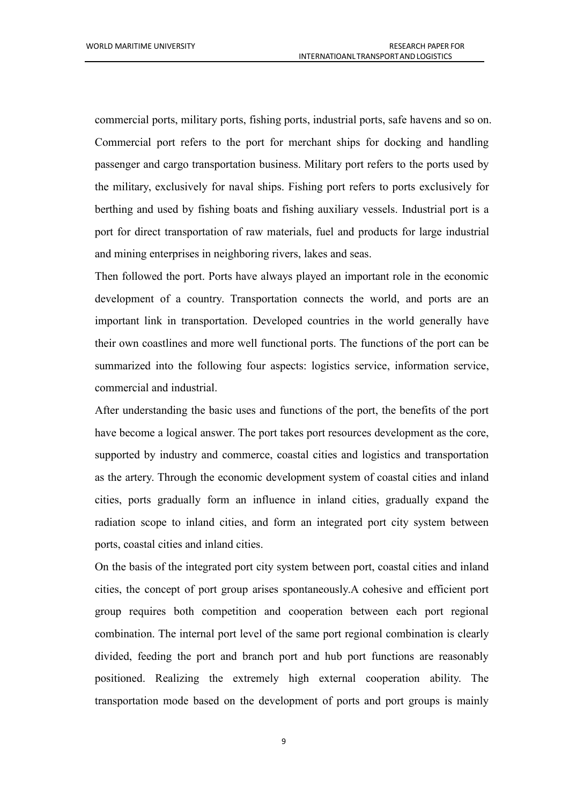commercial ports, military ports, fishing ports, industrial ports, safe havens and so on. Commercial port refers to the port for merchant ships for docking and handling passenger and cargo transportation business. Military port refers to the ports used by the military, exclusively for naval ships. Fishing port refers to ports exclusively for berthing and used by fishing boats and fishing auxiliary vessels. Industrial port is a port for direct transportation of raw materials, fuel and products for large industrial and mining enterprises in neighboring rivers, lakes and seas.

Then followed the port. Ports have always played an important role in the economic development of a country. Transportation connects the world, and ports are an important link in transportation. Developed countries in the world generally have their own coastlines and more well functional ports. The functions of the port can be summarized into the following four aspects: logistics service, information service, commercial and industrial.

After understanding the basic uses and functions of the port, the benefits of the port have become a logical answer. The port takes port resources development as the core, supported by industry and commerce, coastal cities and logistics and transportation as the artery. Through the economic development system of coastal cities and inland cities, ports gradually form an influence in inland cities, gradually expand the radiation scope to inland cities, and form an integrated port city system between ports, coastal cities and inland cities.

On the basis of the integrated port city system between port, coastal cities and inland cities, the concept of port group arises spontaneously.A cohesive and efficient port group requires both competition and cooperation between each port regional combination. The internal port level of the same port regional combination is clearly divided, feeding the port and branch port and hub port functions are reasonably positioned. Realizing the extremely high external cooperation ability. The transportation mode based on the development of ports and port groups is mainly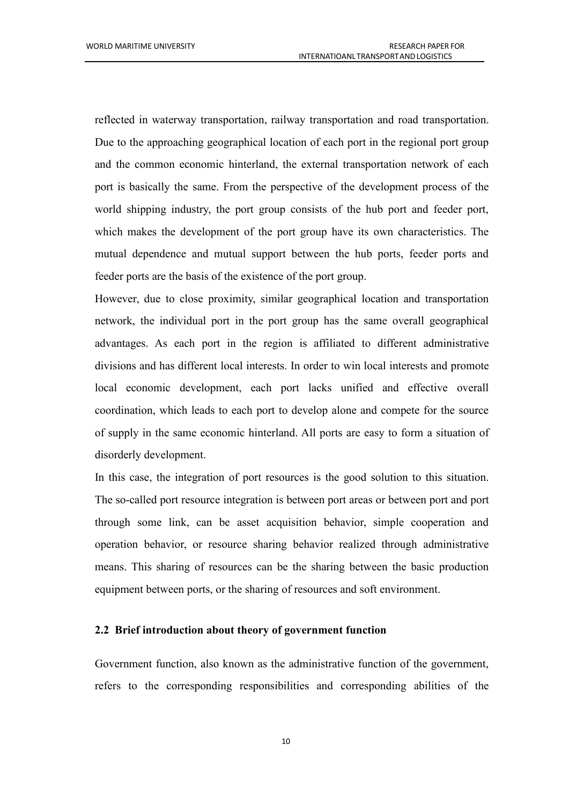reflected in waterway transportation, railway transportation and road transportation. Due to the approaching geographical location of each port in the regional port group and the common economic hinterland, the external transportation network of each port is basically the same. From the perspective of the development process of the world shipping industry, the port group consists of the hub port and feeder port, which makes the development of the port group have its own characteristics. The mutual dependence and mutual support between the hub ports, feeder ports and feeder ports are the basis of the existence of the port group.

However, due to close proximity, similar geographical location and transportation network, the individual port in the port group has the same overall geographical advantages. As each port in the region is affiliated to different administrative divisions and has different local interests. In order to win local interests and promote local economic development, each port lacks unified and effective overall coordination, which leads to each port to develop alone and compete for the source of supply in the same economic hinterland. All ports are easy to form a situation of disorderly development.

In this case, the integration of port resources is the good solution to this situation. The so-called port resource integration is between port areas or between port and port through some link, can be asset acquisition behavior, simple cooperation and operation behavior, or resource sharing behavior realized through administrative means. This sharing of resources can be the sharing between the basic production equipment between ports, or the sharing of resources and soft environment.

### <span id="page-17-0"></span>**2.2 Brief introduction about theory of government function**

Government function, also known as the administrative function of the government, refers to the corresponding responsibilities and corresponding abilities of the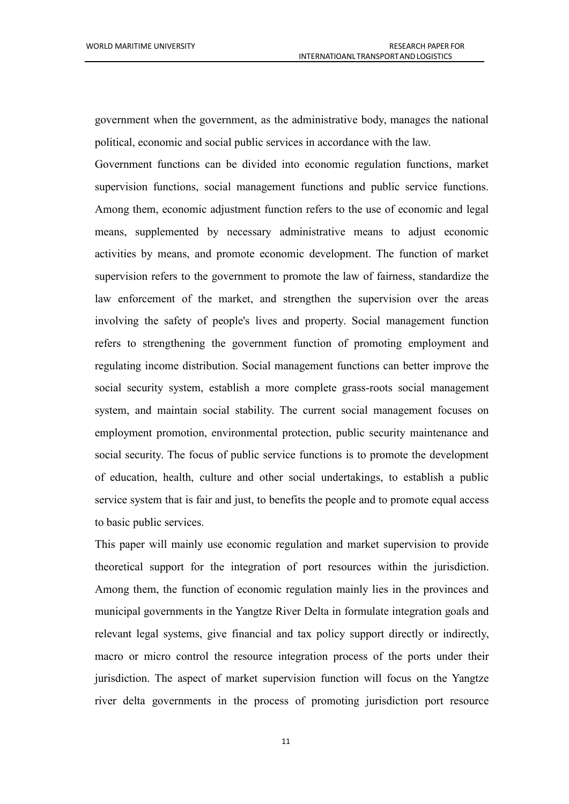government when the government, as the administrative body, manages the national political, economic and social public services in accordance with the law.

Government functions can be divided into economic regulation functions, market supervision functions, social management functions and public service functions. Among them, economic adjustment function refers to the use of economic and legal means, supplemented by necessary administrative means to adjust economic activities by means, and promote economic development. The function of market supervision refers to the government to promote the law of fairness, standardize the law enforcement of the market, and strengthen the supervision over the areas involving the safety of people's lives and property. Social management function refers to strengthening the government function of promoting employment and regulating income distribution. Social management functions can better improve the social security system, establish a more complete grass-roots social management system, and maintain social stability. The current social management focuses on employment promotion, environmental protection, public security maintenance and social security. The focus of public service functions is to promote the development of education, health, culture and other social undertakings, to establish a public service system that is fair and just, to benefits the people and to promote equal access to basic public services.

This paper will mainly use economic regulation and market supervision to provide theoretical support for the integration of port resources within the jurisdiction. Among them, the function of economic regulation mainly lies in the provinces and municipal governments in the Yangtze River Delta in formulate integration goals and relevant legal systems, give financial and tax policy support directly or indirectly, macro or micro control the resource integration process of the ports under their jurisdiction. The aspect of market supervision function will focus on the Yangtze river delta governments in the process of promoting jurisdiction port resource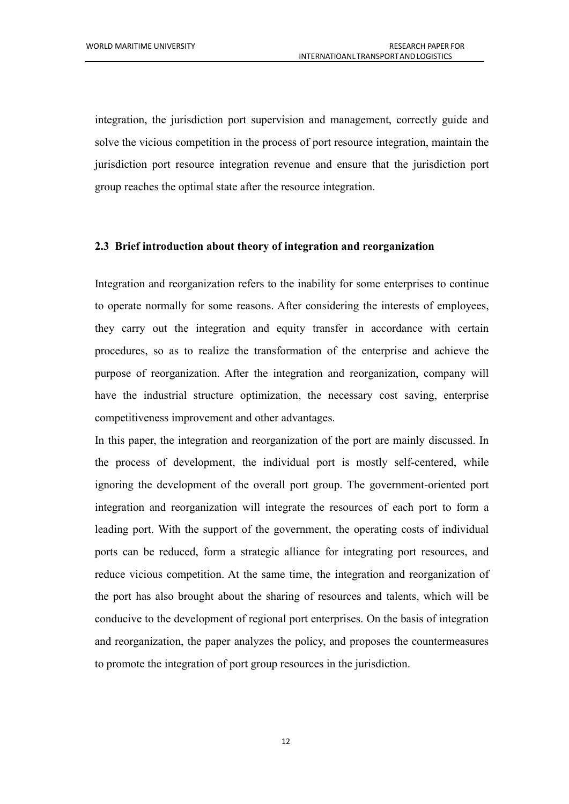integration, the jurisdiction port supervision and management, correctly guide and solve the vicious competition in the process of port resource integration, maintain the jurisdiction port resource integration revenue and ensure that the jurisdiction port group reaches the optimal state after the resource integration.

### <span id="page-19-0"></span>**2.3 Brief introduction about theory of integration and reorganization**

Integration and reorganization refers to the inability for some enterprises to continue to operate normally for some reasons. After considering the interests of employees, they carry out the integration and equity transfer in accordance with certain procedures, so as to realize the transformation of the enterprise and achieve the purpose of reorganization. After the integration and reorganization, company will have the industrial structure optimization, the necessary cost saving, enterprise competitiveness improvement and other advantages.

In this paper, the integration and reorganization of the port are mainly discussed. In the process of development, the individual port is mostly self-centered, while ignoring the development of the overall port group. The government-oriented port integration and reorganization will integrate the resources of each port to form a leading port. With the support of the government, the operating costs of individual ports can be reduced, form a strategic alliance for integrating port resources, and reduce vicious competition. At the same time, the integration and reorganization of the port has also brought about the sharing of resources and talents, which will be conducive to the development of regional port enterprises. On the basis of integration and reorganization, the paper analyzes the policy, and proposes the countermeasures to promote the integration of port group resources in the jurisdiction.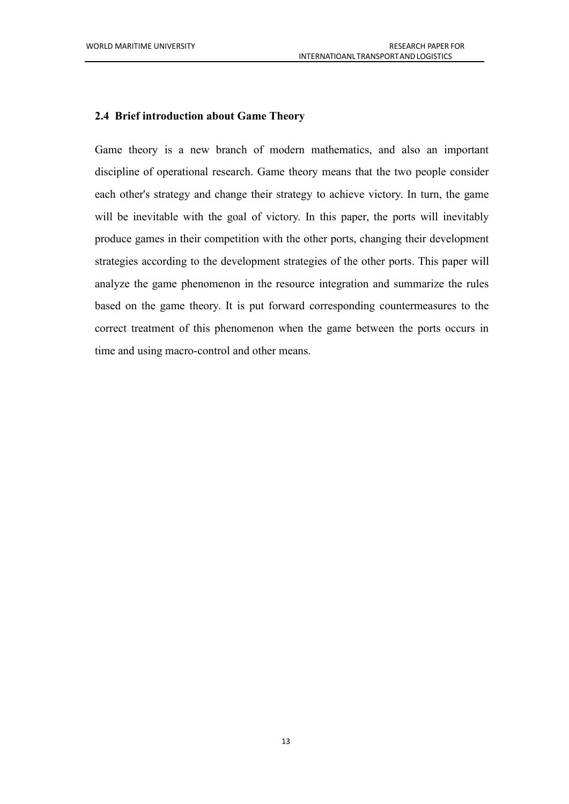### <span id="page-20-0"></span>**2.4 Brief introduction about Game Theory**

Game theory is a new branch of modern mathematics, and also an important discipline of operational research. Game theory means that the two people consider each other's strategy and change their strategy to achieve victory. In turn, the game will be inevitable with the goal of victory. In this paper, the ports will inevitably produce games in their competition with the other ports, changing their development strategies according to the development strategies of the other ports. This paper will analyze the game phenomenon in the resource integration and summarize the rules based on the game theory. It is put forward corresponding countermeasures to the correct treatment of this phenomenon when the game between the ports occurs in time and using macro-control and other means.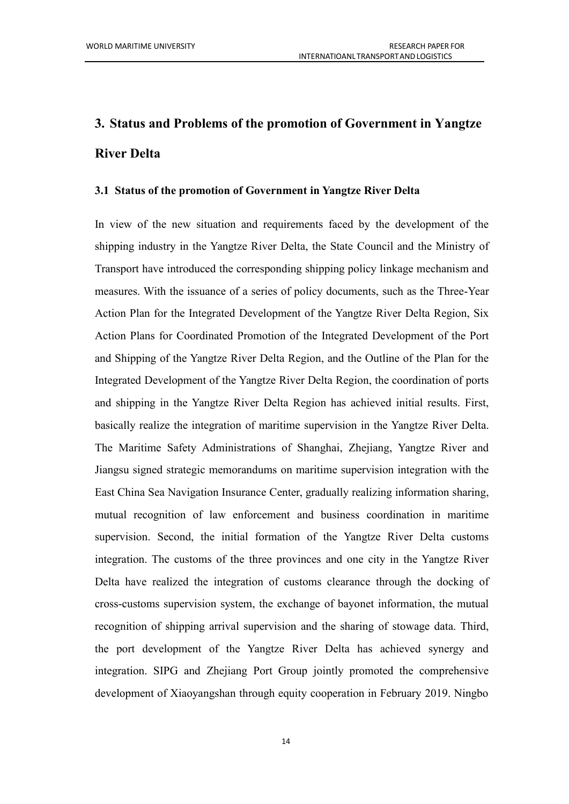# <span id="page-21-0"></span>**3. Status and Problems of the promotion of Government in Yangtze River Delta**

#### <span id="page-21-1"></span>**3.1 Status ofthe promotion of Government in Yangtze River Delta**

In view of the new situation and requirements faced by the development of the shipping industry in the Yangtze River Delta, the State Council and the Ministry of Transport have introduced the corresponding shipping policy linkage mechanism and measures. With the issuance of a series of policy documents, such as the Three-Year Action Plan for the Integrated Development of the Yangtze River Delta Region, Six Action Plans for Coordinated Promotion of the Integrated Development of the Port and Shipping of the Yangtze River Delta Region, and the Outline of the Plan for the Integrated Development of the Yangtze River Delta Region, the coordination of ports and shipping in the Yangtze River Delta Region has achieved initial results. First, basically realize the integration of maritime supervision in the Yangtze River Delta. The Maritime Safety Administrations of Shanghai, Zhejiang, Yangtze River and Jiangsu signed strategic memorandums on maritime supervision integration with the East China Sea Navigation Insurance Center, gradually realizing information sharing, mutual recognition of law enforcement and business coordination in maritime supervision. Second, the initial formation of the Yangtze River Delta customs integration. The customs of the three provinces and one city in the Yangtze River Delta have realized the integration of customs clearance through the docking of cross-customs supervision system, the exchange of bayonet information, the mutual recognition of shipping arrival supervision and the sharing of stowage data. Third, the port development of the Yangtze River Delta has achieved synergy and integration. SIPG and Zhejiang Port Group jointly promoted the comprehensive development of Xiaoyangshan through equity cooperation in February 2019. Ningbo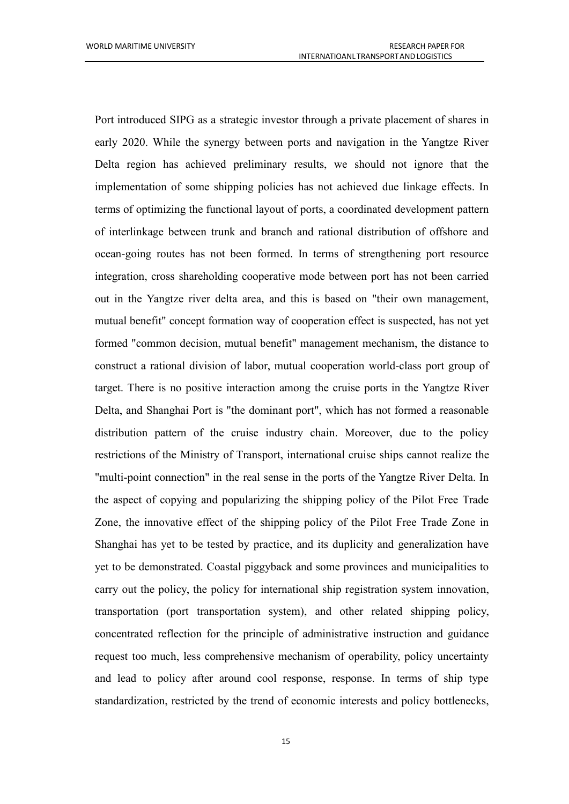Port introduced SIPG as a strategic investor through a private placement of shares in early 2020. While the synergy between ports and navigation in the Yangtze River Delta region has achieved preliminary results, we should not ignore that the implementation of some shipping policies has not achieved due linkage effects. In terms of optimizing the functional layout of ports, a coordinated development pattern of interlinkage between trunk and branch and rational distribution of offshore and ocean-going routes has not been formed. In terms of strengthening port resource integration, cross shareholding cooperative mode between port has not been carried out in the Yangtze river delta area, and this is based on "their own management, mutual benefit" concept formation way of cooperation effect is suspected, has not yet formed "common decision, mutual benefit" management mechanism, the distance to construct a rational division of labor, mutual cooperation world-class port group of target. There is no positive interaction among the cruise ports in the Yangtze River Delta, and Shanghai Port is "the dominant port", which has not formed a reasonable distribution pattern of the cruise industry chain. Moreover, due to the policy restrictions of the Ministry of Transport, international cruise ships cannot realize the "multi-point connection" in the real sense in the ports of the Yangtze River Delta. In the aspect of copying and popularizing the shipping policy of the Pilot Free Trade Zone, the innovative effect of the shipping policy of the Pilot Free Trade Zone in Shanghai has yet to be tested by practice, and its duplicity and generalization have yet to be demonstrated. Coastal piggyback and some provinces and municipalities to carry out the policy, the policy for international ship registration system innovation, transportation (port transportation system), and other related shipping policy, concentrated reflection for the principle of administrative instruction and guidance request too much, less comprehensive mechanism of operability, policy uncertainty and lead to policy after around cool response, response. In terms of ship type standardization, restricted by the trend of economic interests and policy bottlenecks,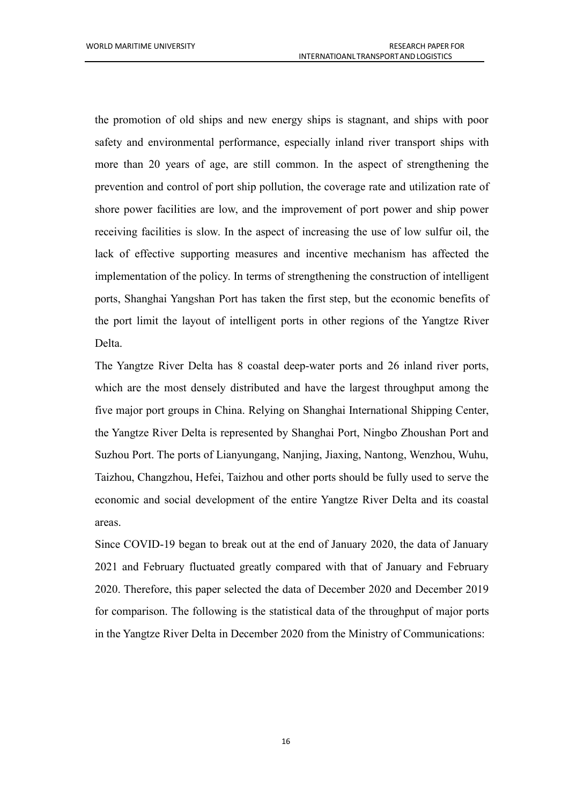the promotion of old ships and new energy ships is stagnant, and ships with poor safety and environmental performance, especially inland river transport ships with more than 20 years of age, are still common. In the aspect of strengthening the prevention and control of port ship pollution, the coverage rate and utilization rate of shore power facilities are low, and the improvement of port power and ship power receiving facilities is slow. In the aspect of increasing the use of low sulfur oil, the lack of effective supporting measures and incentive mechanism has affected the implementation of the policy. In terms of strengthening the construction of intelligent ports, Shanghai Yangshan Port has taken the first step, but the economic benefits of the port limit the layout of intelligent ports in other regions of the Yangtze River Delta.

The Yangtze River Delta has 8 coastal deep-water ports and 26 inland river ports, which are the most densely distributed and have the largest throughput among the five major port groups in China. Relying on Shanghai International Shipping Center, the Yangtze River Delta is represented by Shanghai Port, Ningbo Zhoushan Port and Suzhou Port. The ports of Lianyungang, Nanjing, Jiaxing, Nantong, Wenzhou, Wuhu, Taizhou, Changzhou, Hefei, Taizhou and other ports should be fully used to serve the economic and social development of the entire Yangtze River Delta and its coastal areas.

Since COVID-19 began to break out at the end of January 2020, the data of January 2021 and February fluctuated greatly compared with that of January and February 2020. Therefore, this paper selected the data of December 2020 and December 2019 for comparison. The following is the statistical data of the throughput of major ports in the Yangtze River Delta in December 2020 from the Ministry of Communications: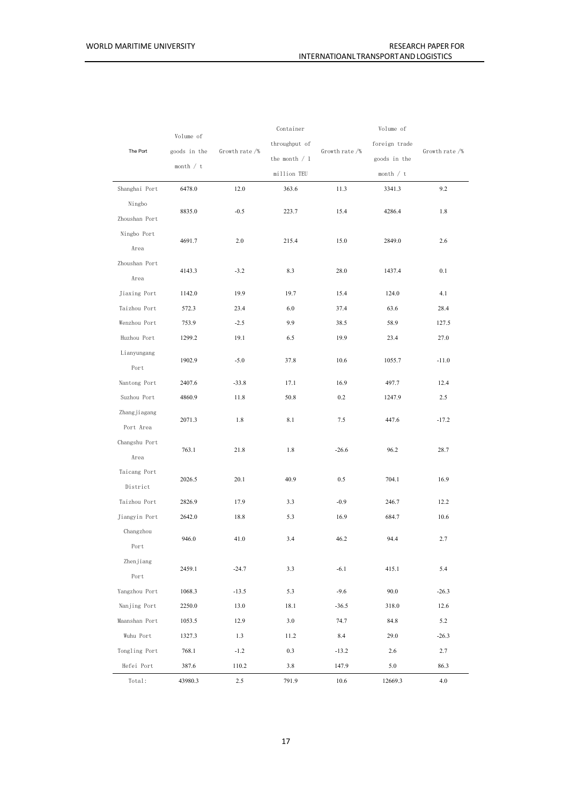|                           |                             |                | Container       |                | Volume of     | Growth rate /% |
|---------------------------|-----------------------------|----------------|-----------------|----------------|---------------|----------------|
|                           | Volume of                   | Growth rate /% | throughput of   | Growth rate /% | foreign trade |                |
| The Port                  | goods in the<br>month $/ t$ |                | the month $/ 1$ |                | goods in the  |                |
|                           |                             |                | million TEU     |                | month $/ t$   |                |
| Shanghai Port             | 6478.0                      | 12.0           | 363.6           | 11.3           | 3341.3        | 9.2            |
| Ningbo<br>Zhoushan Port   | 8835.0                      | $-0.5$         | 223.7           | 15.4           | 4286.4        | 1.8            |
| Ningbo Port<br>Area       | 4691.7                      | 2.0            | 215.4           | 15.0           | 2849.0        | 2.6            |
| Zhoushan Port<br>Area     | 4143.3                      | $-3.2$         | 8.3             | 28.0           | 1437.4        | 0.1            |
| Jiaxing Port              | 1142.0                      | 19.9           | 19.7            | 15.4           | 124.0         | 4.1            |
| Taizhou Port              | 572.3                       | 23.4           | 6.0             | 37.4           | 63.6          | 28.4           |
| Wenzhou Port              | 753.9                       | $-2.5$         | 9.9             | 38.5           | 58.9          | 127.5          |
| Huzhou Port               | 1299.2                      | 19.1           | 6.5             | 19.9           | 23.4          | 27.0           |
| Lianyungang<br>Port       | 1902.9                      | $-5.0$         | 37.8            | 10.6           | 1055.7        | $-11.0$        |
| Nantong Port              | 2407.6                      | $-33.8$        | 17.1            | 16.9           | 497.7         | 12.4           |
| Suzhou Port               | 4860.9                      | 11.8           | 50.8            | 0.2            | 1247.9        | 2.5            |
| Zhangjiagang<br>Port Area | 2071.3                      | 1.8            | 8.1             | 7.5            | 447.6         | $-17.2$        |
| Changshu Port<br>Area     | 763.1                       | 21.8           | 1.8             | $-26.6$        | 96.2          | 28.7           |
| Taicang Port<br>District  | 2026.5                      | 20.1           | 40.9            | 0.5            | 704.1         | 16.9           |
| Taizhou Port              | 2826.9                      | 17.9           | 3.3             | $-0.9$         | 246.7         | 12.2           |
| Jiangyin Port             | 2642.0                      | 18.8           | 5.3             | 16.9           | 684.7         | 10.6           |
| Changzhou<br>Port         | 946.0                       | 41.0           | 3.4             | 46.2           | 94.4          | 2.7            |
| Zhenjiang<br>Port         | 2459.1                      | $-24.7$        | 3.3             | $-6.1$         | 415.1         | 5.4            |
| Yangzhou Port             | 1068.3                      | $-13.5$        | 5.3             | $-9.6$         | 90.0          | $-26.3$        |
| Nanjing Port              | 2250.0                      | 13.0           | 18.1            | $-36.5$        | 318.0         | 12.6           |
| Maanshan Port             | 1053.5                      | 12.9           | 3.0             | 74.7           | 84.8          | 5.2            |
| Wuhu Port                 | 1327.3                      | 1.3            | 11.2            | 8.4            | 29.0          | $-26.3$        |
| Tongling Port             | 768.1                       | $-1.2$         | 0.3             | $-13.2$        | 2.6           | 2.7            |
| Hefei Port                | 387.6                       | 110.2          | 3.8             | 147.9          | 5.0           | 86.3           |
| Total:                    | 43980.3                     | 2.5            | 791.9           | 10.6           | 12669.3       | 4.0            |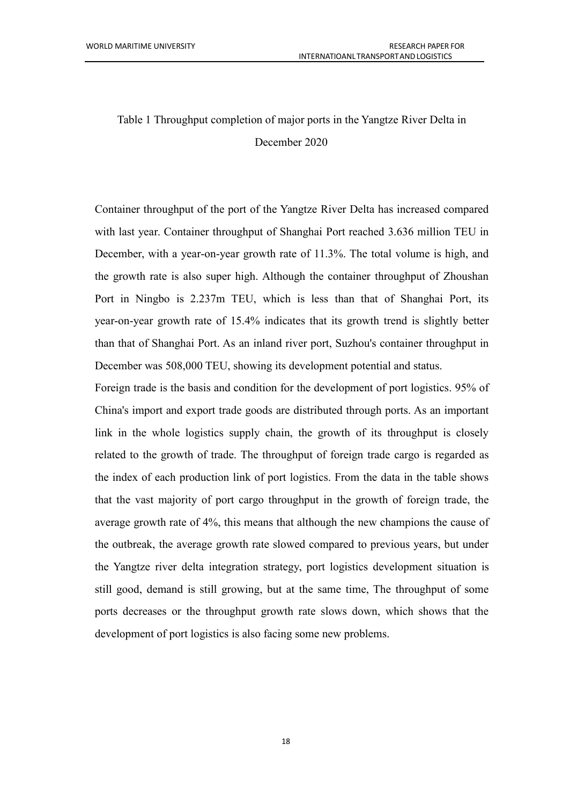# Table 1 Throughput completion of major ports in the Yangtze River Delta in December 2020

Container throughput of the port of the Yangtze River Delta has increased compared with last year. Container throughput of Shanghai Port reached 3.636 million TEU in December, with a year-on-year growth rate of 11.3%. The total volume is high, and the growth rate is also super high. Although the container throughput of Zhoushan Port in Ningbo is 2.237m TEU, which is less than that of Shanghai Port, its year-on-year growth rate of 15.4% indicates that its growth trend is slightly better than that of Shanghai Port. As an inland river port, Suzhou's container throughput in December was 508,000 TEU, showing its development potential and status.

Foreign trade is the basis and condition for the development of port logistics. 95% of China's import and export trade goods are distributed through ports. As an important link in the whole logistics supply chain, the growth of its throughput is closely related to the growth of trade. The throughput of foreign trade cargo is regarded as the index of each production link of port logistics. From the data in the table shows that the vast majority of port cargo throughput in the growth of foreign trade, the average growth rate of  $4\%$ , this means that although the new champions the cause of the outbreak, the average growth rate slowed compared to previous years, but under the Yangtze river delta integration strategy, port logistics development situation is still good, demand is still growing, but at the same time, The throughput of some ports decreases or the throughput growth rate slows down, which shows that the development of port logistics is also facing some new problems.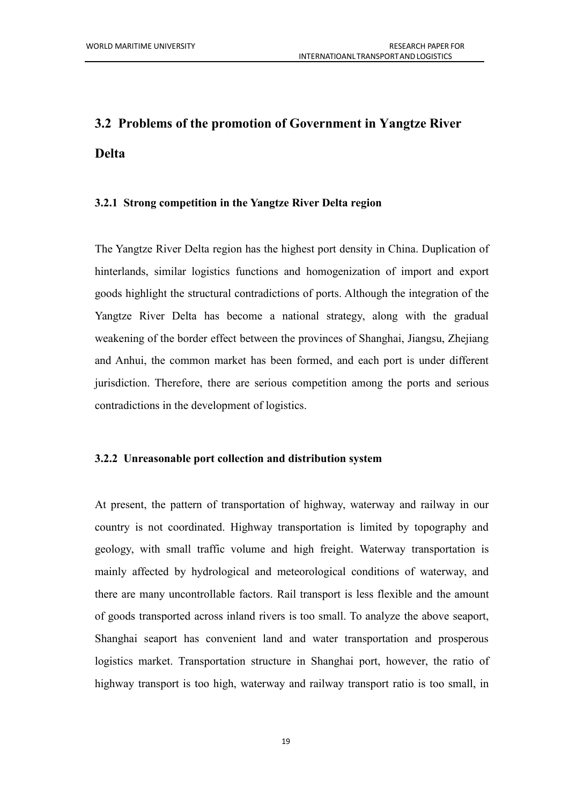# <span id="page-26-0"></span>**3.2 Problems of the promotion of Government in Yangtze River Delta**

### <span id="page-26-1"></span>**3.2.1 Strong competition in the Yangtze River Delta region**

The Yangtze River Delta region has the highest port density in China. Duplication of hinterlands, similar logistics functions and homogenization of import and export goods highlight the structural contradictions of ports. Although the integration of the Yangtze River Delta has become a national strategy, along with the gradual weakening of the border effect between the provinces of Shanghai, Jiangsu, Zhejiang and Anhui, the common market has been formed, and each port is under different jurisdiction. Therefore, there are serious competition among the ports and serious contradictions in the development of logistics.

### <span id="page-26-2"></span>**3.2.2 Unreasonable portcollection and distribution system**

At present, the pattern of transportation of highway, waterway and railway in our country is not coordinated. Highway transportation is limited by topography and geology, with small traffic volume and high freight. Waterway transportation is mainly affected by hydrological and meteorological conditions of waterway, and there are many uncontrollable factors. Rail transport is less flexible and the amount of goods transported across inland rivers is too small. To analyze the above seaport, Shanghai seaport has convenient land and water transportation and prosperous logistics market. Transportation structure in Shanghai port, however, the ratio of highway transport is too high, waterway and railway transport ratio is too small, in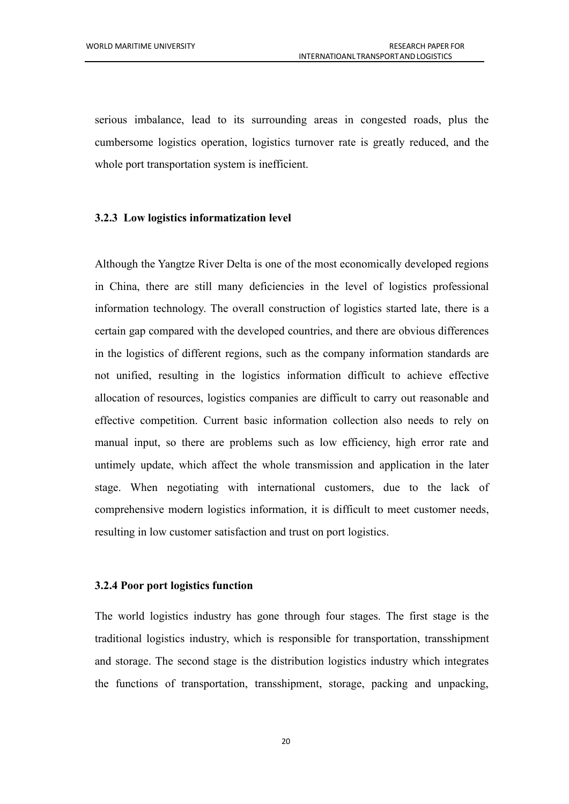serious imbalance, lead to its surrounding areas in congested roads, plus the cumbersome logistics operation, logistics turnover rate is greatly reduced, and the whole port transportation system is inefficient.

### <span id="page-27-0"></span>**3.2.3 Low logistics informatization level**

Although the Yangtze River Delta is one of the most economically developed regions in China, there are still many deficiencies in the level of logistics professional information technology. The overall construction of logistics started late, there is a certain gap compared with the developed countries, and there are obvious differences in the logistics of different regions, such as the company information standards are not unified, resulting in the logistics information difficult to achieve effective allocation of resources, logistics companies are difficult to carry out reasonable and effective competition. Current basic information collection also needs to rely on manual input, so there are problems such as low efficiency, high error rate and untimely update, which affect the whole transmission and application in the later stage. When negotiating with international customers, due to the lack of comprehensive modern logistics information, it is difficult to meet customer needs, resulting in low customer satisfaction and trust on port logistics.

### <span id="page-27-1"></span>**3.2.4 Poor portlogistics function**

The world logistics industry has gone through four stages. The first stage is the traditional logistics industry, which is responsible for transportation, transshipment and storage. The second stage is the distribution logistics industry which integrates the functions of transportation, transshipment, storage, packing and unpacking,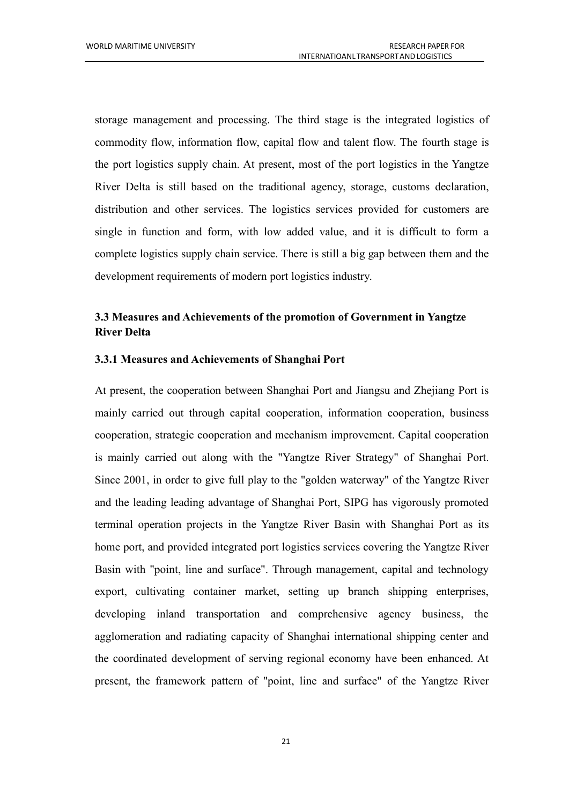storage management and processing. The third stage is the integrated logistics of commodity flow, information flow, capital flow and talent flow. The fourth stage is the port logistics supply chain. At present, most of the port logistics in the Yangtze River Delta is still based on the traditional agency, storage, customs declaration, distribution and other services. The logistics services provided for customers are single in function and form, with low added value, and it is difficult to form a complete logistics supply chain service. There is still a big gap between them and the development requirements of modern port logistics industry.

## <span id="page-28-0"></span>**3.3 Measures and Achievements ofthe promotion of Government in Yangtze River Delta**

### <span id="page-28-1"></span>**3.3.1 Measures and Achievements ofShanghai Port**

At present, the cooperation between Shanghai Port and Jiangsu and Zhejiang Port is mainly carried out through capital cooperation, information cooperation, business cooperation, strategic cooperation and mechanism improvement. Capital cooperation is mainly carried out along with the "Yangtze River Strategy" of Shanghai Port. Since 2001, in order to give full play to the "golden waterway" of the Yangtze River and the leading leading advantage of Shanghai Port, SIPG has vigorously promoted terminal operation projects in the Yangtze River Basin with Shanghai Port as its home port, and provided integrated port logistics services covering the Yangtze River Basin with "point, line and surface". Through management, capital and technology export, cultivating container market, setting up branch shipping enterprises, developing inland transportation and comprehensive agency business, the agglomeration and radiating capacity of Shanghai international shipping center and the coordinated development of serving regional economy have been enhanced. At present, the framework pattern of "point, line and surface" of the Yangtze River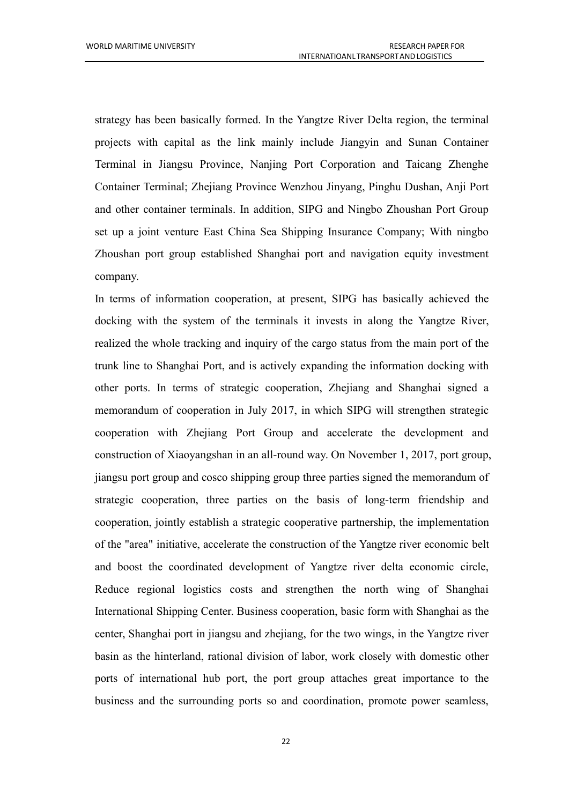strategy has been basically formed. In the Yangtze River Delta region, the terminal projects with capital as the link mainly include Jiangyin and Sunan Container Terminal in Jiangsu Province, Nanjing Port Corporation and Taicang Zhenghe Container Terminal; Zhejiang Province Wenzhou Jinyang, Pinghu Dushan, Anji Port and other container terminals. In addition, SIPG and Ningbo Zhoushan Port Group set up a joint venture East China Sea Shipping Insurance Company; With ningbo Zhoushan port group established Shanghai port and navigation equity investment company.

In terms of information cooperation, at present, SIPG has basically achieved the docking with the system of the terminals it invests in along the Yangtze River, realized the whole tracking and inquiry of the cargo status from the main port of the trunk line to Shanghai Port, and is actively expanding the information docking with other ports. In terms of strategic cooperation, Zhejiang and Shanghai signed a memorandum of cooperation in July 2017, in which SIPG will strengthen strategic cooperation with Zhejiang Port Group and accelerate the development and construction of Xiaoyangshan in an all-round way. On November 1, 2017, port group, jiangsu port group and cosco shipping group three parties signed the memorandum of strategic cooperation, three parties on the basis of long-term friendship and cooperation, jointly establish a strategic cooperative partnership, the implementation of the "area" initiative, accelerate the construction of the Yangtze river economic belt and boost the coordinated development of Yangtze river delta economic circle, Reduce regional logistics costs and strengthen the north wing of Shanghai International Shipping Center. Business cooperation, basic form with Shanghai as the center, Shanghai port in jiangsu and zhejiang, for the two wings, in the Yangtze river basin as the hinterland, rational division of labor, work closely with domestic other ports of international hub port, the port group attaches great importance to the business and the surrounding ports so and coordination, promote power seamless,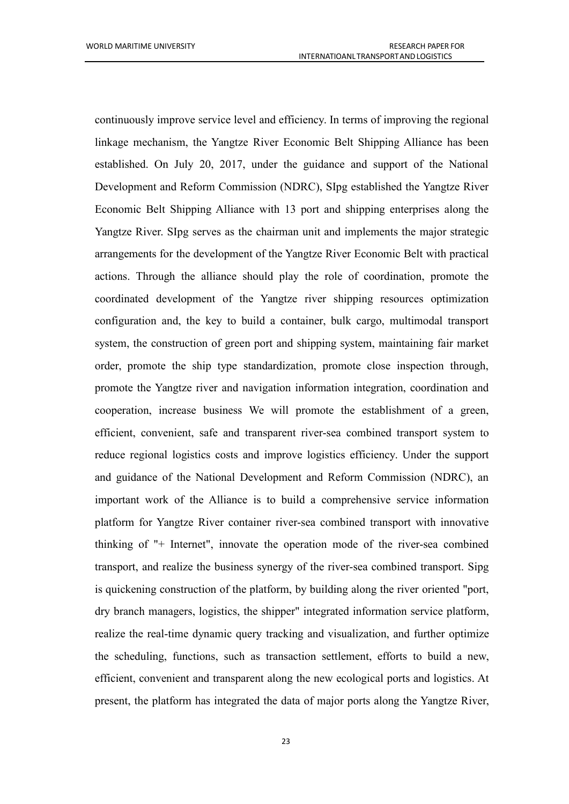continuously improve service level and efficiency. In terms of improving the regional linkage mechanism, the Yangtze River Economic Belt Shipping Alliance has been established. On July 20, 2017, under the guidance and support of the National Development and Reform Commission (NDRC), SIpg established the Yangtze River Economic Belt Shipping Alliance with 13 port and shipping enterprises along the Yangtze River. SIpg serves as the chairman unit and implements the major strategic arrangements for the development of the Yangtze River Economic Belt with practical actions. Through the alliance should play the role of coordination, promote the coordinated development of the Yangtze river shipping resources optimization configuration and, the key to build a container, bulk cargo, multimodal transport system, the construction of green port and shipping system, maintaining fair market order, promote the ship type standardization, promote close inspection through, promote the Yangtze river and navigation information integration, coordination and cooperation, increase business We will promote the establishment of a green, efficient, convenient, safe and transparent river-sea combined transport system to reduce regional logistics costs and improve logistics efficiency. Under the support and guidance of the National Development and Reform Commission (NDRC), an important work of the Alliance is to build a comprehensive service information platform for Yangtze River container river-sea combined transport with innovative thinking of "+ Internet", innovate the operation mode of the river-sea combined transport, and realize the business synergy of the river-sea combined transport. Sipg is quickening construction of the platform, by building along the river oriented "port, dry branch managers, logistics, the shipper" integrated information service platform, realize the real-time dynamic query tracking and visualization, and further optimize the scheduling, functions, such as transaction settlement, efforts to build a new, efficient, convenient and transparent along the new ecological ports and logistics. At present, the platform has integrated the data of major ports along the Yangtze River,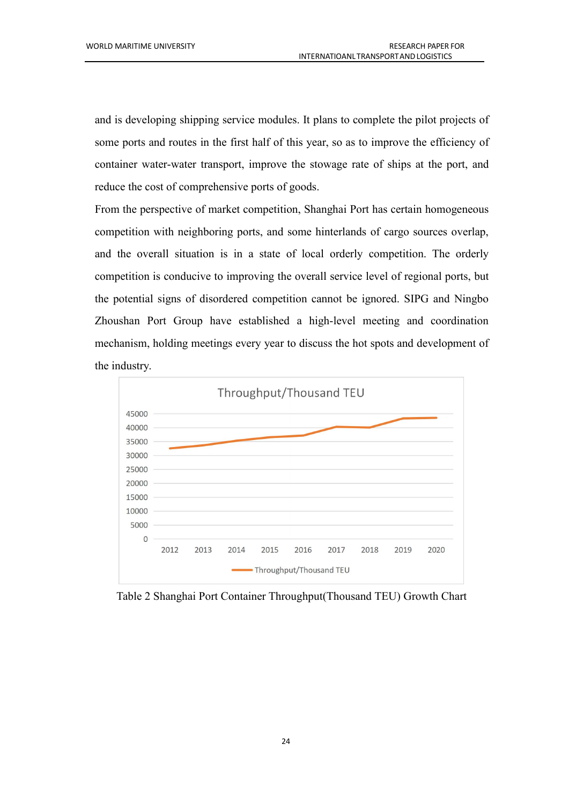and is developing shipping service modules. It plans to complete the pilot projects of some ports and routes in the first half of this year, so as to improve the efficiency of container water-water transport, improve the stowage rate of ships at the port, and reduce the cost of comprehensive ports of goods.

From the perspective of market competition, Shanghai Port has certain homogeneous competition with neighboring ports, and some hinterlands of cargo sources overlap, and the overall situation is in a state of local orderly competition. The orderly competition is conducive to improving the overall service level of regional ports, but the potential signs of disordered competition cannot be ignored.SIPG and Ningbo Zhoushan Port Group have established a high-level meeting and coordination mechanism, holding meetings every year to discuss the hot spots and development of the industry.



Table 2 Shanghai Port Container Throughput(Thousand TEU) Growth Chart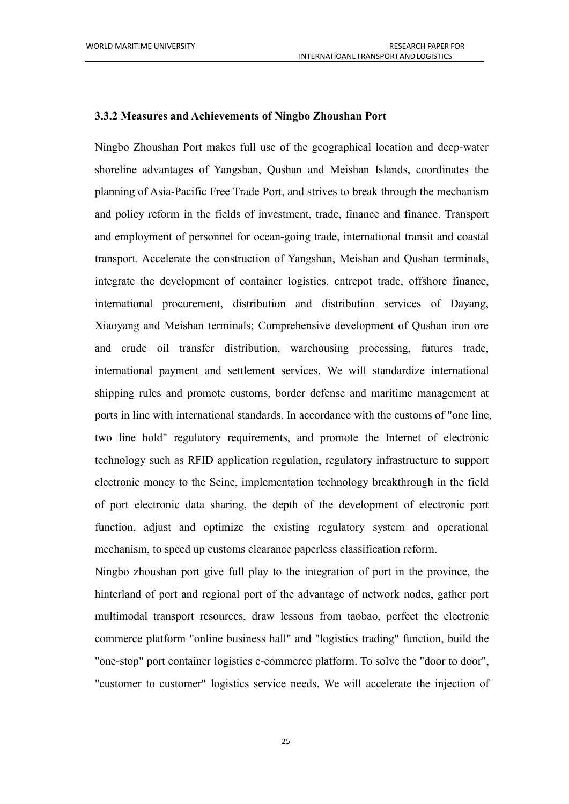#### <span id="page-32-0"></span>**3.3.2 Measures** and **Achievements** of Ningbo Zhoushan Port

Ningbo Zhoushan Port makes full use of the geographical location and deep-water shoreline advantages of Yangshan, Qushan and Meishan Islands, coordinates the planning of Asia-Pacific Free Trade Port, and strives to break through the mechanism and policy reform in the fields of investment, trade, finance and finance. Transport and employment of personnel for ocean-going trade, international transit and coastal transport. Accelerate the construction of Yangshan, Meishan and Qushan terminals, integrate the development of container logistics, entrepot trade, offshore finance, international procurement, distribution and distribution services of Dayang, Xiaoyang and Meishan terminals; Comprehensive development of Qushan iron ore and crude oil transfer distribution, warehousing processing, futures trade, international payment and settlement services. We will standardize international shipping rules and promote customs, border defense and maritime management at ports in line with international standards. In accordance with the customs of"one line, two line hold" regulatory requirements, and promote the Internet of electronic technology such as RFID application regulation, regulatory infrastructure to support electronic money to the Seine, implementation technology breakthrough in the field of port electronic data sharing, the depth of the development of electronic port function, adjust and optimize the existing regulatory system and operational mechanism, to speed up customs clearance paperless classification reform.

Ningbo zhoushan port give full play to the integration of port in the province, the hinterland of port and regional port of the advantage of network nodes, gather port multimodal transport resources, draw lessons from taobao, perfect the electronic commerce platform "online business hall" and "logistics trading" function, build the "one-stop" port container logistics e-commerce platform. To solve the "door to door", "customer to customer" logistics service needs. We will accelerate the injection of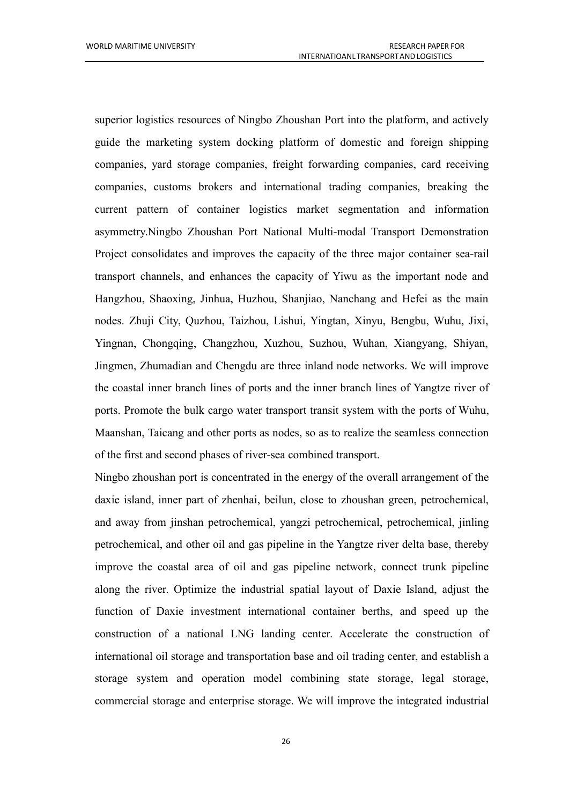superior logistics resources of Ningbo Zhoushan Port into the platform, and actively guide the marketing system docking platform of domestic and foreign shipping companies, yard storage companies, freight forwarding companies, card receiving companies, customs brokers and international trading companies, breaking the current pattern of container logistics market segmentation and information asymmetry.Ningbo Zhoushan Port National Multi-modal Transport Demonstration Project consolidates and improves the capacity of the three major container sea-rail transport channels, and enhances the capacity of Yiwu as the important node and Hangzhou, Shaoxing, Jinhua, Huzhou, Shanjiao, Nanchang and Hefei as the main nodes. Zhuji City, Quzhou, Taizhou, Lishui, Yingtan, Xinyu, Bengbu, Wuhu, Jixi, Yingnan, Chongqing, Changzhou, Xuzhou, Suzhou, Wuhan, Xiangyang, Shiyan, Jingmen, Zhumadian and Chengdu are three inland node networks. We will improve the coastal inner branch lines of ports and the inner branch lines of Yangtze river of ports. Promote the bulk cargo water transport transit system with the ports of Wuhu,<br>Maanshan, Taicang and other ports as nodes, so as to realize the seamless connection of the first and second phases of river-sea combined transport.

Ningbo zhoushan port is concentrated in the energy of the overall arrangement of the daxie island, inner part of zhenhai, beilun, close to zhoushan green, petrochemical, and away from jinshan petrochemical, yangzi petrochemical, petrochemical, jinling petrochemical, and other oil and gas pipeline in the Yangtze river delta base, thereby improve the coastal area of oil and gas pipeline network, connect trunk pipeline along the river. Optimize the industrial spatial layout of Daxie Island, adjust the function of Daxie investment international container berths, and speed up the construction of a national LNG landing center. Accelerate the construction of international oil storage and transportation base and oil trading center, and establish a storage system and operation model combining state storage, legal storage, commercial storage and enterprise storage. We will improve the integrated industrial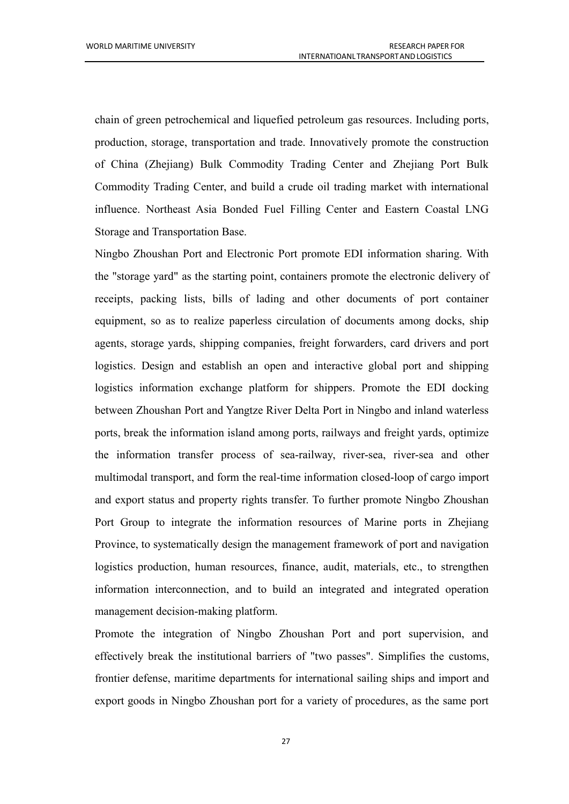chain of green petrochemical and liquefied petroleum gas resources. Including ports, production, storage, transportation and trade. Innovatively promote the construction of China (Zhejiang) Bulk Commodity Trading Center and Zhejiang Port Bulk Commodity Trading Center, and build a crude oil trading market with international influence. Northeast Asia Bonded Fuel Filling Center and Eastern Coastal LNG Storage and Transportation Base.

Ningbo Zhoushan Port and Electronic Port promote EDI information sharing. With the "storage yard" as the starting point, containers promote the electronic delivery of receipts, packing lists, bills of lading and other documents of port container equipment, so as to realize paperless circulation of documents among docks, ship agents, storage yards, shipping companies, freight forwarders, card drivers and port logistics. Design and establish an open and interactive global port and shipping logistics information exchange platform for shippers. Promote the EDI docking between Zhoushan Port and Yangtze River Delta Port in Ningbo and inland waterless ports, break the information island among ports, railways and freight yards, optimize the information transfer process of sea-railway, river-sea, river-sea and other multimodal transport, and form the real-time information closed-loop of cargo import and export status and property rights transfer. To further promote Ningbo Zhoushan Port Group to integrate the information resources of Marine ports in Zhejiang Province, to systematically design the management framework of port and navigation logistics production, human resources, finance, audit, materials, etc., to strengthen information interconnection, and to build an integrated and integrated operation management decision-making platform.

Promote the integration of Ningbo Zhoushan Port and port supervision, and effectively break the institutional barriers of "two passes". Simplifies the customs, frontier defense, maritime departments for international sailing ships and import and export goods in Ningbo Zhoushan port for a variety of procedures, as the same port

27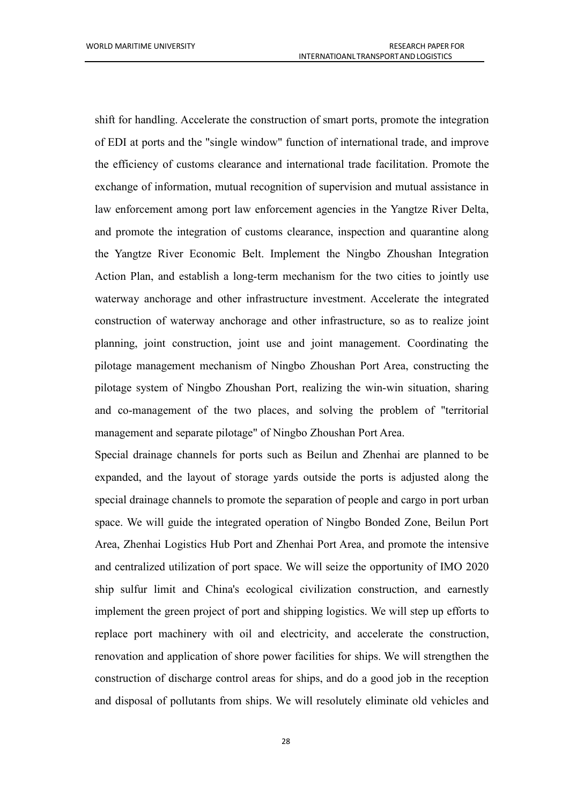shift for handling. Accelerate the construction of smart ports, promote the integration of EDI at ports and the "single window" function of international trade, and improve the efficiency of customs clearance and international trade facilitation. Promote the exchange of information, mutual recognition of supervision and mutual assistance in law enforcement among port law enforcement agencies in the Yangtze River Delta, and promote the integration of customs clearance, inspection and quarantine along the Yangtze River Economic Belt. Implement the Ningbo Zhoushan Integration Action Plan, and establish a long-term mechanism for the two cities to jointly use waterway anchorage and other infrastructure investment. Accelerate the integrated construction of waterway anchorage and other infrastructure, so as to realize joint planning, joint construction, joint use and joint management. Coordinating the pilotage management mechanism of Ningbo Zhoushan Port Area, constructing the pilotage system of Ningbo Zhoushan Port, realizing the win-win situation, sharing and co-management of the two places, and solving the problem of "territorial management and separate pilotage" of Ningbo Zhoushan Port Area.

Special drainage channels for ports such as Beilun and Zhenhai are planned to be expanded, and the layout of storage yards outside the ports is adjusted along the special drainage channels to promote the separation of people and cargo in port urban space. We will guide the integrated operation of Ningbo Bonded Zone, Beilun Port Area, Zhenhai Logistics Hub Port and Zhenhai Port Area, and promote the intensive and centralized utilization of port space. We will seize the opportunity of IMO 2020 ship sulfur limit and China's ecological civilization construction, and earnestly implement the green project of port and shipping logistics. We will step up efforts to replace port machinery with oil and electricity, and accelerate the construction, renovation and application of shore power facilities for ships. We will strengthen the construction of discharge control areas for ships, and do a good job in the reception and disposal of pollutants from ships. We will resolutely eliminate old vehicles and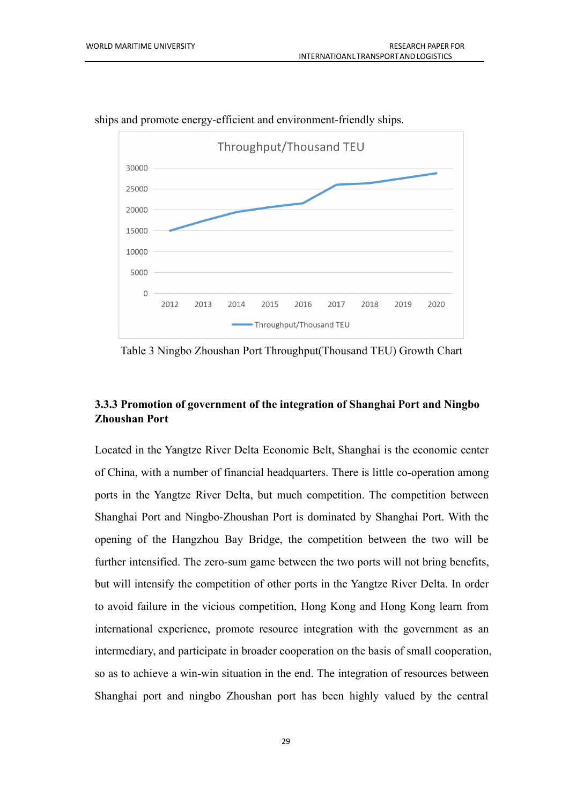

ships and promote energy-efficient and environment-friendly ships.

Table 3 Ningbo Zhoushan Port Throughput(Thousand TEU) Growth Chart

## <span id="page-36-0"></span>**3.3.3 Promotion of government of the integration of Shanghai Port and Ningbo Zhoushan Port**

Located in the Yangtze River Delta Economic Belt, Shanghai is the economic center of China, with a number of financial headquarters. There is little co-operation among ports in the Yangtze River Delta, but much competition. The competition between Shanghai Port and Ningbo-Zhoushan Port is dominated by Shanghai Port. With the opening of the Hangzhou Bay Bridge, the competition between the two will be further intensified. The zero-sum game between the two ports will not bring benefits, but will intensify the competition of other ports in the Yangtze River Delta. In order to avoid failure in the vicious competition, Hong Kong and Hong Kong learn from international experience, promote resource integration with the government as an intermediary, and participate in broader cooperation on the basis of small cooperation, so as to achieve a win-win situation in the end. The integration of resources between Shanghai port and ningbo Zhoushan port has been highly valued by the central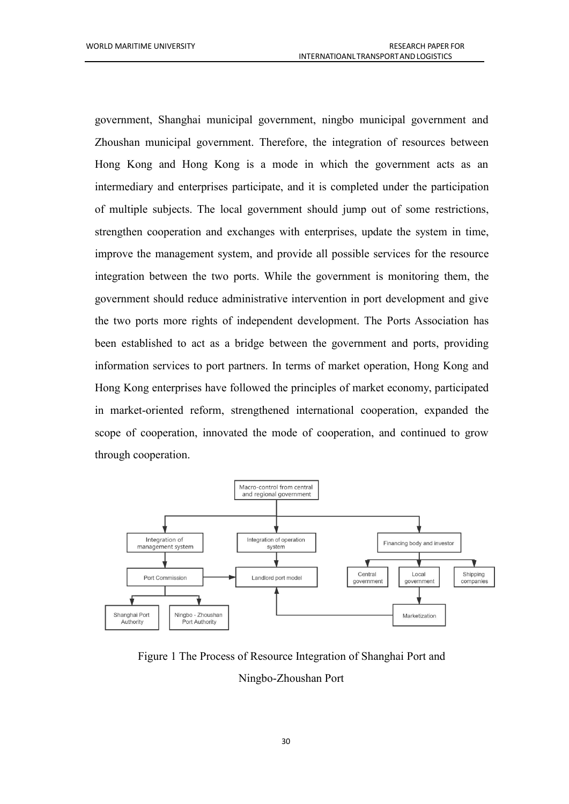government, Shanghai municipal government, ningbo municipal government and Zhoushan municipal government. Therefore, the integration of resources between Hong Kong and Hong Kong is a mode in which the government acts as an intermediary and enterprises participate, and it is completed under the participation of multiple subjects. The local government should jump out of some restrictions, strengthen cooperation and exchanges with enterprises, update the system in time, improve the management system, and provide all possible services for the resource integration between the two ports. While the government is monitoring them, the government should reduce administrative intervention in port development and give the two ports more rights of independent development. The Ports Association has been established to act as a bridge between the government and ports, providing information services to port partners. In terms of market operation, Hong Kong and Hong Kong enterprises have followed the principles of market economy, participated in market-oriented reform, strengthened international cooperation, expanded the scope of cooperation, innovated the mode of cooperation, and continued to grow through cooperation.



Figure 1 The Process of Resource Integration of Shanghai Port and Ningbo-Zhoushan Port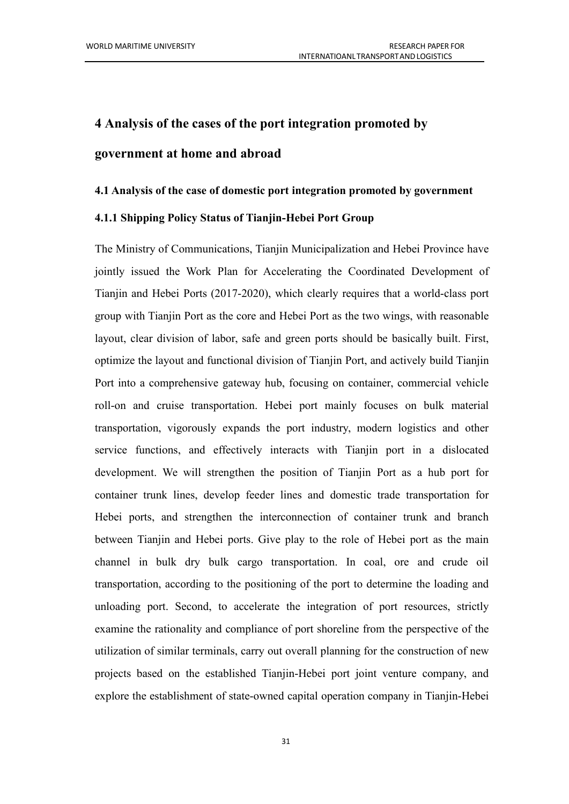# <span id="page-38-0"></span>**4 Analysis ofthe cases ofthe portintegration promoted by government at home and abroad**

### <span id="page-38-1"></span>**4.1 Analysis ofthe case of domestic portintegration promoted by government**

### <span id="page-38-2"></span>**4.1.1 Shipping Policy Status ofTianjin-Hebei Port Group**

The Ministry of Communications, Tianjin Municipalization and Hebei Province have jointly issued the Work Plan for Accelerating the Coordinated Development of Tianjin and Hebei Ports (2017-2020), which clearly requires that a world-class port group with Tianjin Port as the core and Hebei Port as the two wings, with reasonable layout, clear division of labor, safe and green ports should be basically built. First, optimize the layout and functional division of Tianjin Port, and actively build Tianjin Port into a comprehensive gateway hub, focusing on container, commercial vehicle roll-on and cruise transportation. Hebei port mainly focuses on bulk material transportation, vigorously expands the port industry, modern logistics and other service functions, and effectively interacts with Tianjin port in a dislocated development. We will strengthen the position of Tianjin Port as a hub port for container trunk lines, develop feeder lines and domestic trade transportation for Hebei ports, and strengthen the interconnection of container trunk and branch between Tianjin and Hebei ports. Give play to the role of Hebei port as the main channel in bulk dry bulk cargo transportation. In coal, ore and crude oil transportation, according to the positioning of the port to determine the loading and unloading port. Second, to accelerate the integration of port resources, strictly examine the rationality and compliance of port shoreline from the perspective of the utilization of similar terminals, carry out overall planning for the construction of new projects based on the established Tianjin-Hebei port joint venture company, and explore the establishment of state-owned capital operation company in Tianjin-Hebei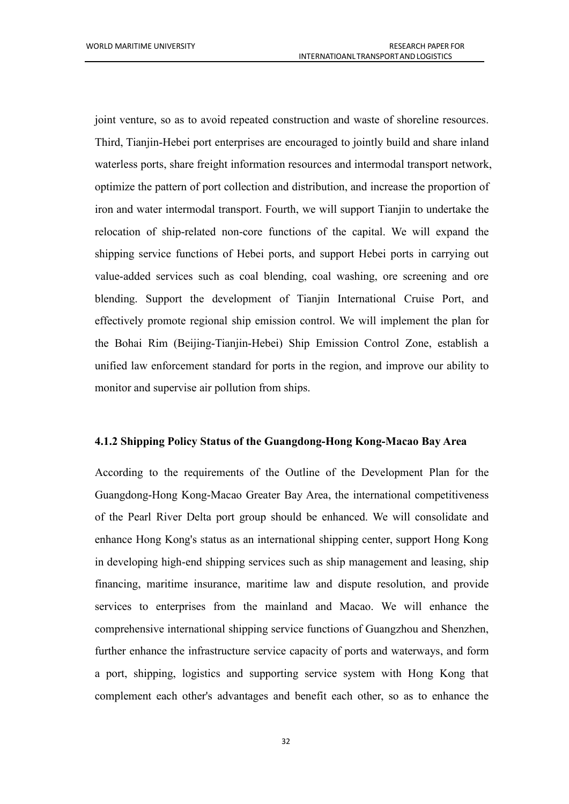joint venture, so as to avoid repeated construction and waste of shoreline resources. Third, Tianjin-Hebei port enterprises are encouraged to jointly build and share inland waterless ports, share freight information resources and intermodal transport network, optimize the pattern of port collection and distribution, and increase the proportion of iron and water intermodal transport. Fourth, we will support Tianjin to undertake the relocation of ship-related non-core functions of the capital. We will expand the shipping service functions of Hebei ports, and support Hebei ports in carrying out value-added services such as coal blending, coal washing, ore screening and ore blending. Support the development of Tianjin International Cruise Port, and effectively promote regional ship emission control. We will implement the plan for the Bohai Rim (Beijing-Tianjin-Hebei) Ship Emission Control Zone, establish a unified law enforcement standard for ports in the region, and improve our ability to monitor and supervise air pollution from ships.

#### <span id="page-39-0"></span>**4.1.2 Shipping Policy Status ofthe Guangdong-Hong Kong-Macao Bay Area**

According to the requirements of the Outline of the Development Plan for the Guangdong-Hong Kong-Macao Greater Bay Area, the international competitiveness of the Pearl River Delta port group should be enhanced. We will consolidate and enhance Hong Kong's status as an international shipping center, support Hong Kong in developing high-end shipping services such as ship management and leasing, ship financing, maritime insurance, maritime law and dispute resolution, and provide services to enterprises from the mainland and Macao. We will enhance the comprehensive international shipping service functions of Guangzhou and Shenzhen, further enhance the infrastructure service capacity of ports and waterways, and form a port, shipping, logistics and supporting service system with Hong Kong that complement each other's advantages and benefit each other, so as to enhance the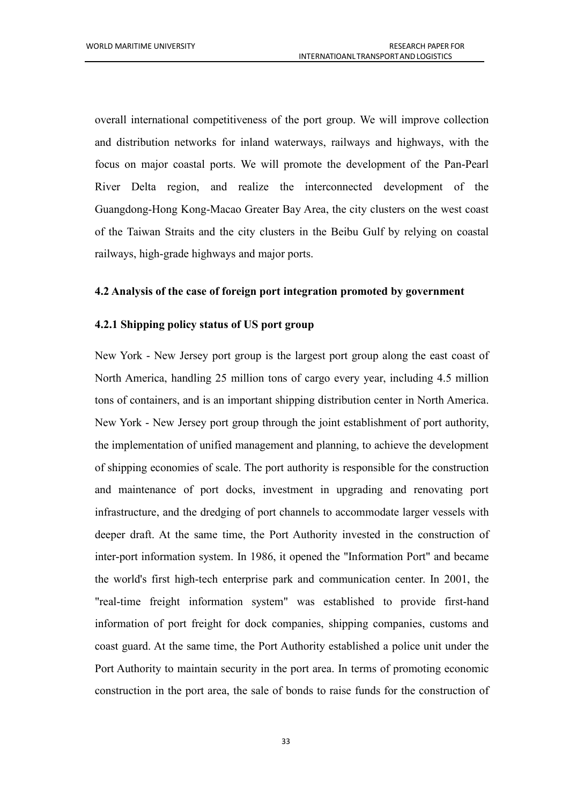overall international competitiveness of the port group. We will improve collection and distribution networks for inland waterways, railways and highways, with the focus on major coastal ports. We will promote the development of the Pan-Pearl River Delta region, and realize the interconnected development of the Guangdong-Hong Kong-Macao Greater Bay Area, the city clusters on the west coast of the Taiwan Straits and the city clusters in the Beibu Gulf by relying on coastal railways, high-grade highways and major ports.

### <span id="page-40-0"></span>**4.2 Analysis ofthe case of foreign port integration promoted by government**

### <span id="page-40-1"></span>**4.2.1 Shipping policy status ofUS port group**

New York - New Jersey port group is the largest port group along the east coast of North America, handling 25 million tons of cargo every year, including 4.5 million tons of containers, and is an important shipping distribution center in North America. New York - New Jersey port group through the joint establishment of port authority, the implementation of unified management and planning, to achieve the development of shipping economies of scale. The port authority is responsible for the construction and maintenance of port docks, investment in upgrading and renovating port infrastructure, and the dredging of port channels to accommodate larger vessels with deeper draft. At the same time, the Port Authority invested in the construction of inter-port information system. In 1986, it opened the "Information Port" and became the world's first high-tech enterprise park and communication center. In 2001, the "real-time freight information system" was established to provide first-hand information of port freight for dock companies, shipping companies, customs and coast guard. At the same time, the Port Authority established a police unit under the Port Authority to maintain security in the port area. In terms of promoting economic construction in the port area, the sale of bonds to raise funds for the construction of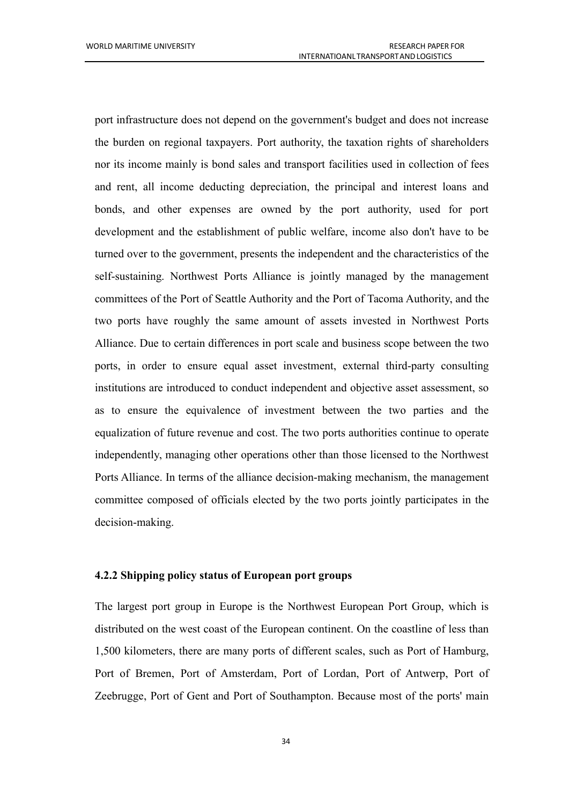port infrastructure does not depend on the government's budget and does not increase the burden on regional taxpayers. Port authority, the taxation rights of shareholders nor its income mainly is bond sales and transport facilities used in collection of fees and rent, all income deducting depreciation, the principal and interest loans and bonds, and other expenses are owned by the port authority, used for port development and the establishment of public welfare, income also don't have to be turned over to the government, presents the independent and the characteristics of the self-sustaining. Northwest Ports Alliance is jointly managed by the management committees of the Port of Seattle Authority and the Port of Tacoma Authority, and the two ports have roughly the same amount of assets invested in Northwest Ports Alliance. Due to certain differences in port scale and business scope between the two ports, in order to ensure equal asset investment, external third-party consulting institutions are introduced to conduct independent and objective asset assessment, so as to ensure the equivalence of investment between the two parties and the equalization of future revenue and cost. The two ports authorities continue to operate independently, managing other operations other than those licensed to the Northwest Ports Alliance. In terms of the alliance decision-making mechanism, the management committee composed of officials elected by the two ports jointly participates in the decision-making.

#### <span id="page-41-0"></span>**4.2.2 Shipping policy status ofEuropean port groups**

The largest port group in Europe is the Northwest European Port Group, which is distributed on the west coast of the European continent. On the coastline of less than 1,500 kilometers, there are many ports of different scales, such as Port of Hamburg, Port of Bremen, Port of Amsterdam, Port of Lordan, Port of Antwerp, Port of Zeebrugge, Port of Gent and Port of Southampton. Because most of the ports' main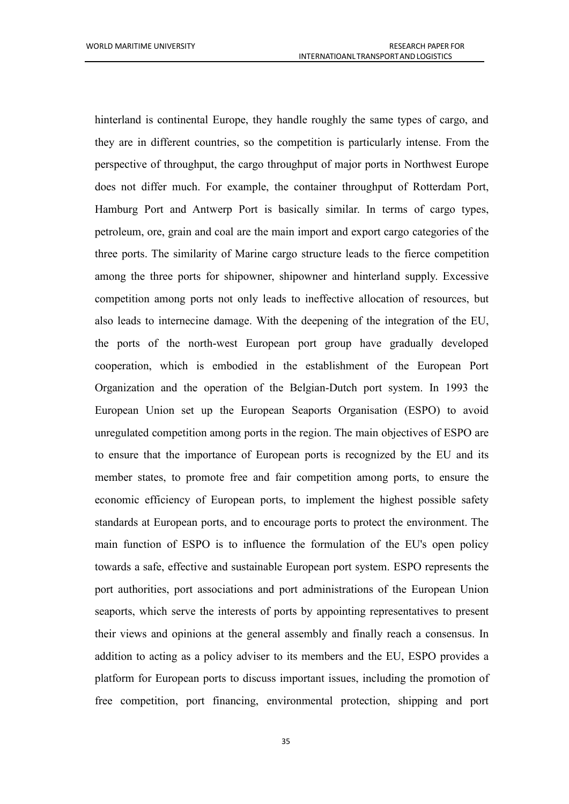hinterland is continental Europe, they handle roughly the same types of cargo, and they are in different countries, so the competition is particularly intense. From the perspective of throughput, the cargo throughput of major ports in Northwest Europe does not differ much. For example, the container throughput of Rotterdam Port, Hamburg Port and Antwerp Port is basically similar. In terms of cargo types, petroleum, ore, grain and coal are the main import and export cargo categories of the three ports. The similarity of Marine cargo structure leads to the fierce competition among the three ports for shipowner, shipowner and hinterland supply. Excessive competition among ports not only leads to ineffective allocation of resources, but also leads to internecine damage. With the deepening of the integration of the EU, the ports of the north-west European port group have gradually developed cooperation, which is embodied in the establishment of the European Port Organization and the operation of the Belgian-Dutch port system. In 1993 the European Union set up the European Seaports Organisation (ESPO) to avoid unregulated competition among ports in the region. The main objectives of ESPO are to ensure that the importance of European ports is recognized by the EU and its member states, to promote free and fair competition among ports, to ensure the economic efficiency of European ports, to implement the highest possible safety standards at European ports, and to encourage ports to protect the environment. The main function of ESPO is to influence the formulation of the EU's open policy towards a safe, effective and sustainable European port system. ESPO represents the port authorities, port associations and port administrations of the European Union seaports, which serve the interests of ports by appointing representatives to present their views and opinions at the general assembly and finally reach a consensus. In addition to acting as a policy adviser to its members and the EU, ESPO provides a platform for European ports to discuss important issues, including the promotion of free competition, port financing, environmental protection, shipping and port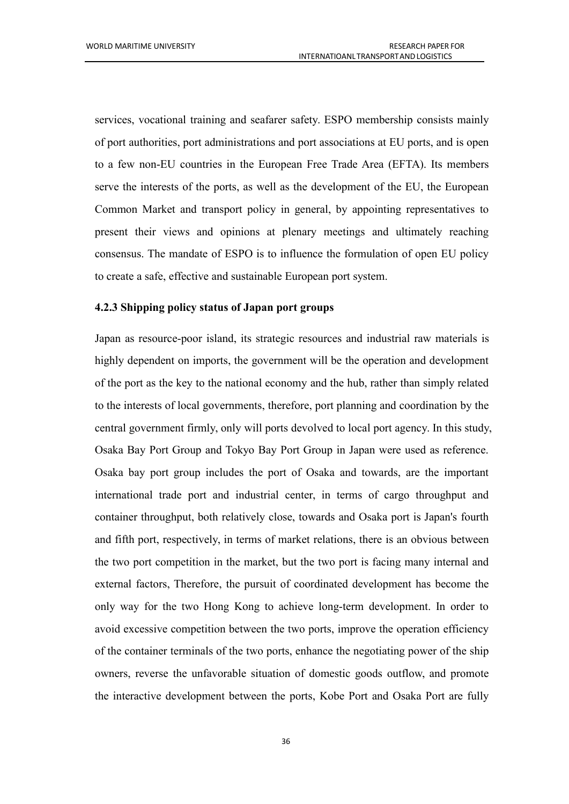services, vocational training and seafarer safety. ESPO membership consists mainly of port authorities, port administrations and port associations at EU ports, andis open to a few non-EU countries in the European Free Trade Area (EFTA). Its members serve the interests of the ports, as well as the development of the EU, the European Common Market and transport policy in general, by appointing representatives to present their views and opinions at plenary meetings and ultimately reaching consensus. The mandate of ESPO is to influence the formulation of open EU policy to create a safe, effective and sustainable European port system.

### <span id="page-43-0"></span>**4.2.3 Shipping policy status ofJapan port groups**

Japan as resource-poor island, its strategic resources and industrial raw materials is highly dependent on imports, the government will be the operation and development of the port as the key to the national economy and the hub, rather than simply related to the interests of local governments, therefore, port planning and coordination by the central government firmly, only will ports devolved to local port agency. In this study,<br>Osaka Bay Port Group and Tokyo Bay Port Group in Japan were used as reference. Osaka bay port group includes the port of Osaka and towards, are the important international trade port and industrial center, in terms of cargo throughput and container throughput, both relatively close, towards and Osaka port is Japan's fourth and fifth port, respectively, in terms of market relations, there is an obvious between the two port competition in the market, but the two port is facing many internal and external factors, Therefore, the pursuit of coordinated development has become the only way for the two Hong Kong to achieve long-term development. In order to avoid excessive competition between the two ports, improve the operation efficiency of the container terminals of the two ports, enhance the negotiating power of the ship owners, reverse the unfavorable situation of domestic goods outflow, and promote the interactive development between the ports, Kobe Port and Osaka Port are fully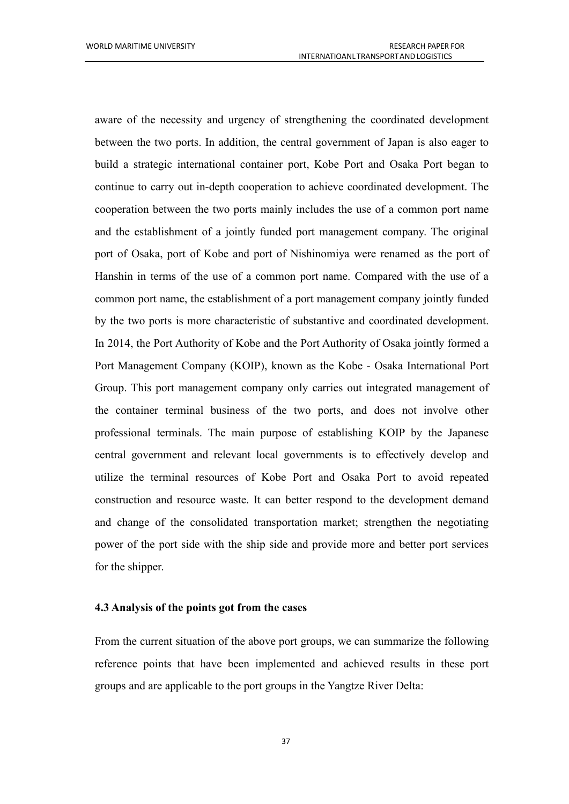aware of the necessity and urgency of strengthening the coordinated development between the two ports. In addition, the central government of Japan is also eager to build a strategic international container port, Kobe Port and Osaka Port began to continue to carry out in-depth cooperation to achieve coordinated development. The cooperation between the two ports mainly includes the use of a common port name and the establishment of a jointly funded port management company. The original port of Osaka, port of Kobe and port of Nishinomiya were renamed as the port of Hanshin in terms of the use of a common port name. Compared with the use of a common port name, the establishment of a port management company jointly funded by the two ports is more characteristic of substantive and coordinated development. In 2014, the Port Authority of Kobe and the Port Authority of Osaka jointly formed a Port Management Company (KOIP), known as the Kobe - Osaka International Port Group. This port management company only carries out integrated management of the container terminal business of the two ports, and does not involve other professional terminals. The main purpose of establishing KOIP by the Japanese central government and relevant local governments is to effectively develop and utilize the terminal resources of Kobe Port and Osaka Port to avoid repeated construction and resource waste. It can better respond to the development demand and change of the consolidated transportation market; strengthen the negotiating power of the port side with the ship side and provide more and better port services for the shipper.

#### <span id="page-44-0"></span>**4.3 Analysis ofthe points got from the cases**

From the current situation of the above port groups, we can summarize the following reference points that have been implemented and achieved results in these port groups and are applicable to the port groups in the Yangtze River Delta: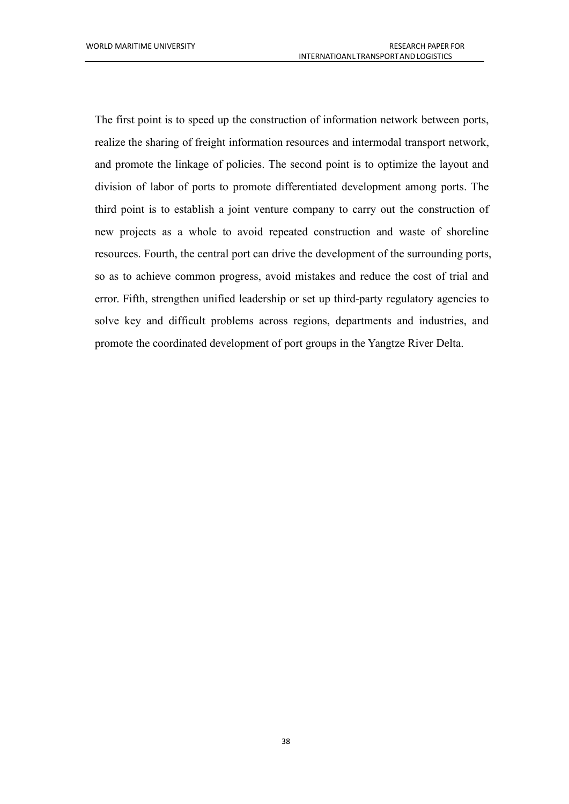<span id="page-45-0"></span>The first point is to speed up the construction of information network between ports, realize the sharing of freight information resources and intermodal transport network, and promote the linkage of policies. The second point is to optimize the layout and division of labor of ports to promote differentiated development among ports. The third point is to establish a joint venture company to carry out the construction of new projects as a whole to avoid repeated construction and waste of shoreline resources. Fourth, the central port can drive the development of the surrounding ports, so as to achieve common progress, avoid mistakes and reduce the cost of trial and error. Fifth, strengthen unified leadership or set up third-party regulatory agencies to solve key and difficult problems across regions, departments and industries, and promote the coordinated development of port groups in the Yangtze River Delta.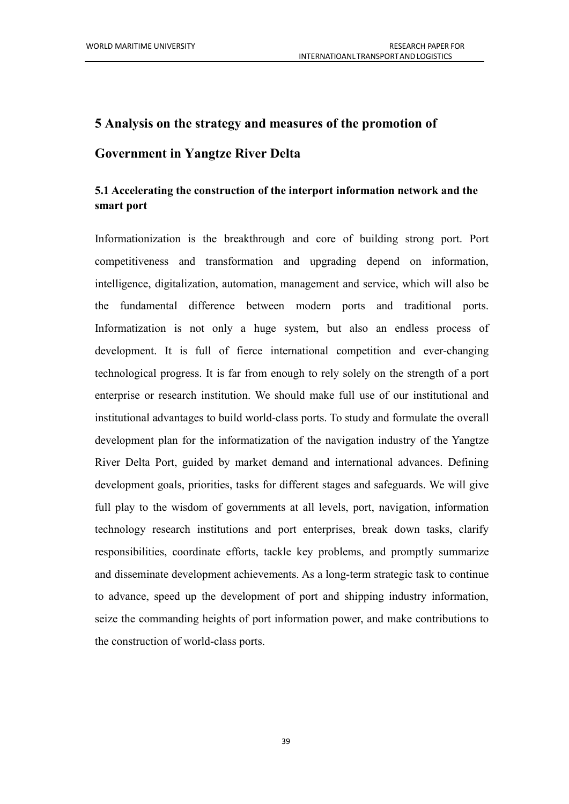# **5 Analysis on the strategy and measures ofthe promotion of Government in Yangtze River Delta**

### <span id="page-46-0"></span>**5.1 Accelerating the construction of the interport information network and the smart port**

<span id="page-46-1"></span>Informationization is the breakthrough and core of building strong port. Port competitiveness and transformation and upgrading depend on information, intelligence, digitalization, automation, management and service, which will also be the fundamental difference between modern ports and traditional ports. Informatization is not only a huge system, but also an endless process of development. It is full of fierce international competition and ever-changing technological progress. It is far from enough to rely solely on the strength of a port enterprise or research institution. We should make full use of our institutional and institutional advantages to build world-class ports. To study and formulate the overall development plan for the informatization of the navigation industry of the Yangtze River Delta Port, guided by market demand and international advances. Defining development goals, priorities, tasks for different stages and safeguards. We will give full play to the wisdom of governments at all levels, port, navigation, information technology research institutions and port enterprises, break down tasks, clarify responsibilities, coordinate efforts, tackle key problems, and promptly summarize and disseminate development achievements. As a long-term strategic task to continue to advance, speed up the development of port and shipping industry information, seize the commanding heights of port information power, and make contributions to the construction of world-class ports.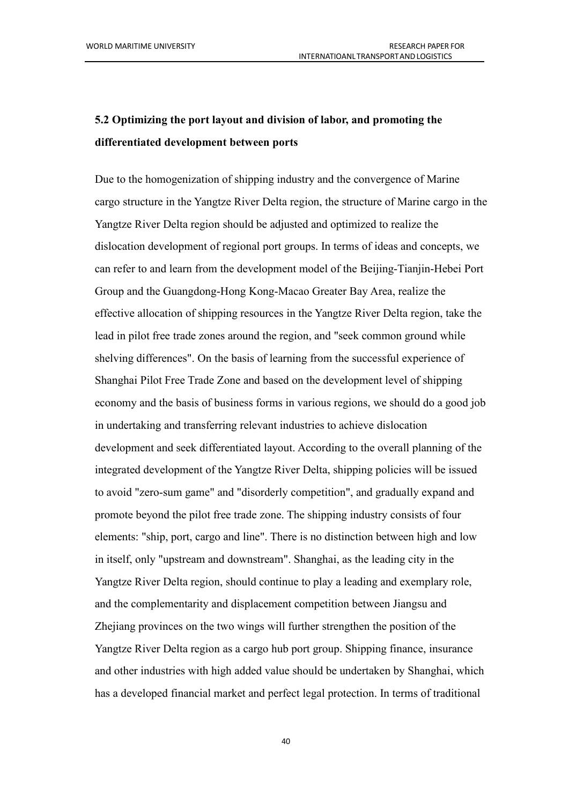# **5.2 Optimizing the portlayout and division of labor, and promoting the differentiated development between ports**

<span id="page-47-0"></span>Due to the homogenization of shipping industry and the convergence of Marine cargo structure in the Yangtze River Delta region, the structure of Marine cargo in the Yangtze River Delta region should be adjusted and optimized to realize the dislocation development of regional port groups. In terms of ideas and concepts, we can refer to and learn from the development model of the Beijing-Tianjin-Hebei Port Group and the Guangdong-Hong Kong-Macao Greater Bay Area, realize the effective allocation of shipping resources in the Yangtze River Delta region, take the lead in pilot free trade zones around the region, and "seek common ground while shelving differences". On the basis of learning from the successful experience of Shanghai Pilot Free Trade Zone and based on the development level of shipping economy and the basis of business forms in various regions, we should do a good job in undertaking and transferring relevant industries to achieve dislocation development and seek differentiated layout. According to the overall planning of the integrated development of the Yangtze River Delta, shipping policies will be issued to avoid "zero-sum game" and "disorderly competition", and gradually expand and promote beyond the pilot free trade zone. The shipping industry consists of four elements: "ship, port, cargo and line". There is no distinction between high and low in itself, only "upstream and downstream". Shanghai, as the leading city in the Yangtze River Delta region, should continue to play a leading and exemplary role, and the complementarity and displacement competition between Jiangsu and Zhejiang provinces on the two wings will further strengthen the position of the Yangtze River Delta region as a cargo hub port group. Shipping finance, insurance and other industries with high added value should be undertaken by Shanghai, which has a developed financial market and perfect legal protection. In terms of traditional

40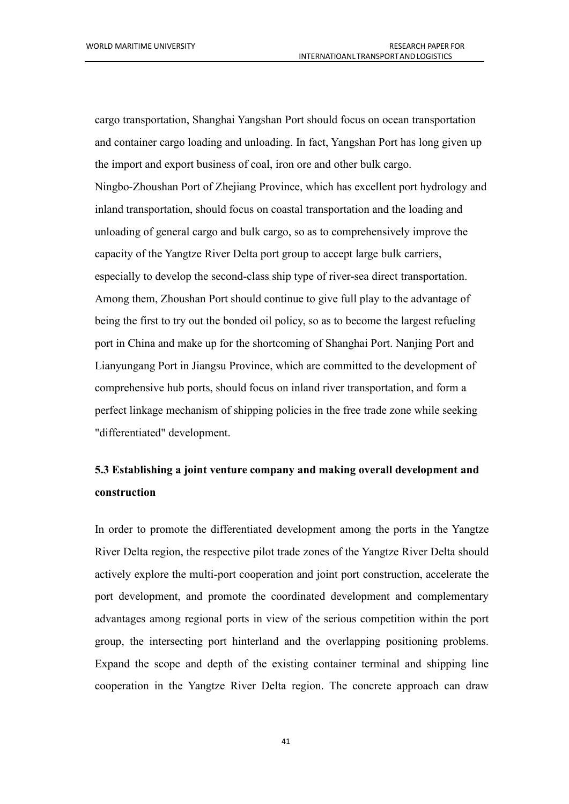cargo transportation, Shanghai Yangshan Port should focus on ocean transportation and container cargo loading and unloading. In fact, Yangshan Port has long given up the import and export business of coal, iron ore and other bulk cargo.

Ningbo-Zhoushan Port of Zhejiang Province, which has excellent port hydrology and inland transportation, should focus on coastal transportation and the loading and unloading of general cargo and bulk cargo, so as to comprehensively improve the capacity of the Yangtze River Delta port group to accept large bulk carriers, especially to develop the second-class ship type of river-sea direct transportation. Among them, Zhoushan Port should continue to give full play to the advantage of being the first to try out the bonded oil policy, so as to become the largest refueling port in China and make up for the shortcoming of Shanghai Port. Nanjing Port and Lianyungang Port in Jiangsu Province, which are committed to the development of comprehensive hub ports, should focus on inland river transportation, and form a perfect linkage mechanism of shipping policies in the free trade zone while seeking "differentiated" development.

# **5.3 Establishing a joint venture company and making overall development and construction**

In order to promote the differentiated development among the ports in the Yangtze River Delta region, the respective pilot trade zones of the Yangtze River Delta should actively explore the multi-port cooperation and joint port construction, accelerate the port development, and promote the coordinated development and complementary advantages among regional ports in view of the serious competition within the port group, the intersecting port hinterland and the overlapping positioning problems. Expand the scope and depth of the existing container terminal and shipping line cooperation in the Yangtze River Delta region. The concrete approach can draw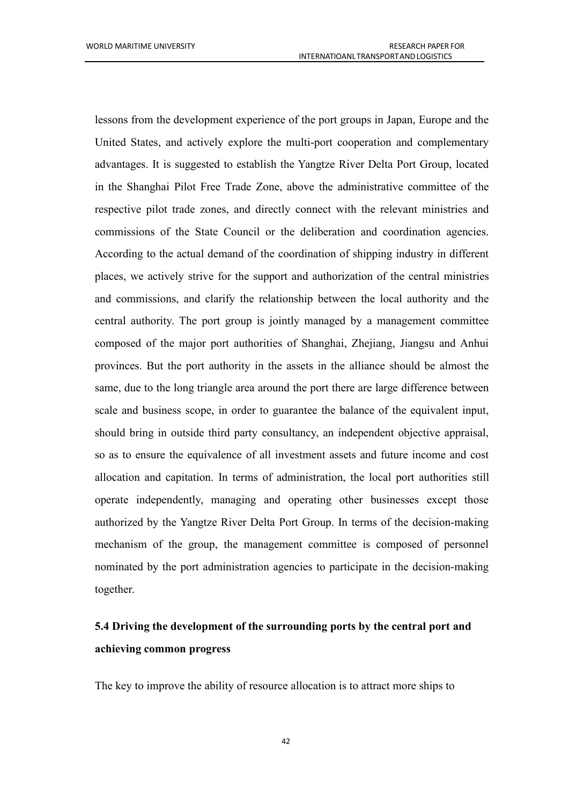lessons from the development experience of the port groups in Japan, Europe and the United States, and actively explore the multi-port cooperation and complementary advantages. It is suggested to establish the Yangtze River Delta Port Group, located in the Shanghai Pilot Free Trade Zone, above the administrative committee of the respective pilot trade zones, and directly connect with the relevant ministries and commissions of the State Council or the deliberation and coordination agencies. According to the actual demand of the coordination of shipping industry in different places, we actively strive for the support and authorization of the central ministries and commissions, and clarify the relationship between the local authority and the central authority. The port group is jointly managed by a management committee composed of the major port authorities of Shanghai, Zhejiang, Jiangsu and Anhui provinces. But the port authority in the assets in the alliance should be almost the same, due to the long triangle area around the port there are large difference between scale and business scope, in order to guarantee the balance of the equivalent input, should bring in outside third party consultancy, an independent objective appraisal, so as to ensure the equivalence of all investment assets and future income and cost allocation and capitation. In terms of administration, the local port authorities still operate independently, managing and operating other businesses except those authorized by the Yangtze River Delta Port Group. In terms of the decision-making mechanism of the group, the management committee is composed of personnel nominated by the port administration agencies to participate in the decision-making together.

# <span id="page-49-0"></span>**5.4 Driving the development of the surrounding ports by the central port and achieving common progress**

<span id="page-49-1"></span>The key to improve the ability of resource allocation is to attract more ships to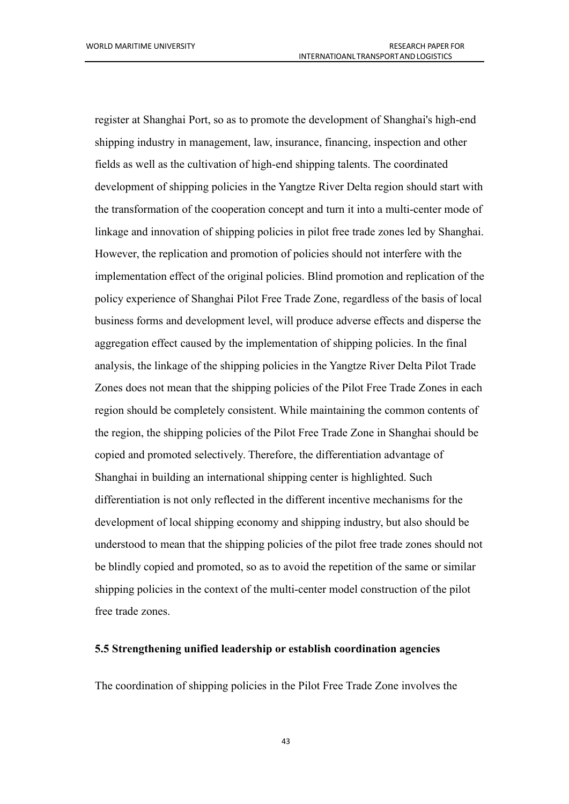register at Shanghai Port, so as to promote the development of Shanghai's high-end shipping industry in management, law, insurance, financing, inspection and other fields as well as the cultivation of high-end shipping talents. The coordinated development of shipping policies in the Yangtze River Delta region should start with the transformation of the cooperation concept and turn it into a multi-center mode of linkage and innovation of shipping policies in pilot free trade zones led by Shanghai. However, the replication and promotion of policies should not interfere with the implementation effect of the original policies. Blind promotion and replication of the policy experience of Shanghai Pilot Free Trade Zone, regardless of the basis of local business forms and development level, will produce adverse effects and disperse the aggregation effect caused by the implementation of shipping policies. In the final analysis, the linkage of the shipping policies in the Yangtze River Delta Pilot Trade Zones does not mean that the shipping policies of the Pilot Free Trade Zones in each region should be completely consistent. While maintaining the common contents of the region, the shipping policies of the Pilot Free Trade Zone in Shanghai should be copied and promoted selectively.Therefore, the differentiation advantage of Shanghai in building an international shipping center is highlighted. Such differentiation is not only reflected in the different incentive mechanisms for the development of local shipping economy and shipping industry, but also should be understood to mean that the shipping policies of the pilot free trade zones should not be blindly copied and promoted, so as to avoid the repetition of the same or similar shipping policies in the context of the multi-center model construction of the pilot free trade zones.

### **5.5 Strengthening unified leadership or establish coordination agencies**

<span id="page-50-0"></span>The coordination of shipping policies in the Pilot Free Trade Zone involves the

43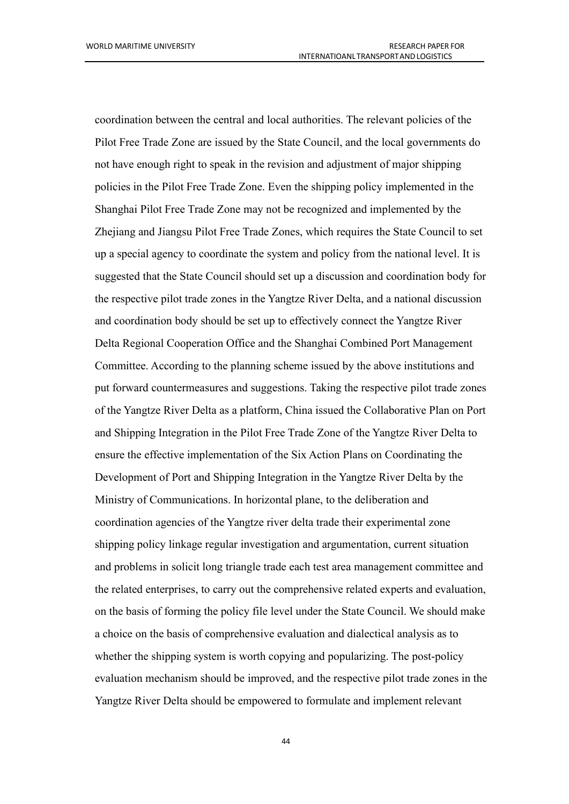coordination between the central and local authorities. The relevant policies of the Pilot Free Trade Zone are issued by the State Council, and the local governments do not have enough right to speak in the revision and adjustment of major shipping policies in the Pilot Free Trade Zone. Even the shipping policy implemented in the Shanghai Pilot Free Trade Zone may not be recognized and implemented by the Zhejiang and Jiangsu Pilot Free Trade Zones, which requires the State Council to set up a special agency to coordinate the system and policy from the national level. It is suggested that the State Council should set up a discussion and coordination body for the respective pilot trade zones in the Yangtze River Delta, and a national discussion and coordination body should be set up to effectively connect the Yangtze River Delta Regional Cooperation Office and the Shanghai Combined Port Management Committee. According to the planning scheme issued by the above institutions and put forward countermeasures and suggestions. Taking the respective pilot trade zones of the Yangtze River Delta asa platform, China issued the Collaborative Plan on Port and Shipping Integration in the Pilot Free Trade Zone of the Yangtze River Delta to ensure the effective implementation of the Six Action Plans on Coordinating the Development of Port and Shipping Integration in the Yangtze River Delta by the Ministry of Communications. In horizontal plane, to the deliberation and coordination agencies of the Yangtze river delta trade their experimental zone shipping policy linkage regular investigation and argumentation, current situation and problems in solicit long triangle trade each test area management committee and the related enterprises, to carry out the comprehensive related experts and evaluation, on the basis of forming the policy file level under the State Council. We should make a choice on the basis of comprehensive evaluation and dialectical analysis as to whether the shipping system is worth copying and popularizing. The post-policy evaluation mechanism should be improved, and the respective pilot trade zones in the Yangtze River Delta should be empowered to formulate and implement relevant

44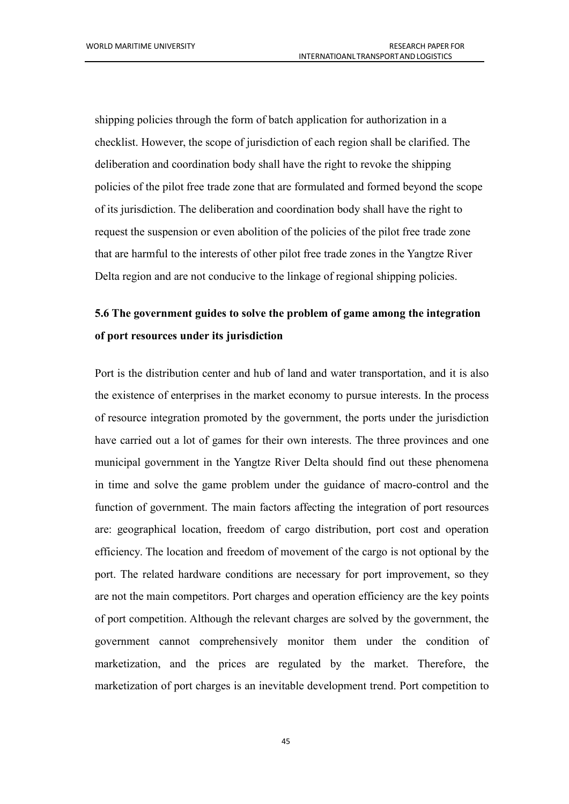shipping policies through the form of batch application for authorization in a checklist. However, the scope of jurisdiction of each region shall be clarified. The deliberation and coordination body shall have the right to revoke the shipping policies ofthe pilot free trade zone that are formulated and formed beyond the scope of its jurisdiction. The deliberation and coordination body shall have the right to request the suspension or even abolition of the policies of the pilot free trade zone that are harmful to the interests of other pilot free trade zones in the Yangtze River Delta region and are not conducive to the linkage of regional shipping policies.

# **5.6 The government guides to solve the problem of game among the integration of port resources under its jurisdiction**

Port is the distribution center and hub of land and water transportation, and it is also the existence of enterprises in the market economy to pursue interests. In the process of resource integration promoted by the government, the ports under the jurisdiction have carried out a lot of games for their own interests. The three provinces and one municipal government in the Yangtze River Delta should find out these phenomena in time and solve the game problem under the guidance of macro-control and the function of government. The main factors affecting the integration of port resources are: geographical location, freedom of cargo distribution, port cost and operation efficiency. The location and freedom of movement of the cargo is not optional by the port. The related hardware conditions are necessary for port improvement, so they are not the main competitors. Port charges and operation efficiency are the key points of port competition. Although the relevant charges are solved by the government, the government cannot comprehensively monitor them under the condition of marketization, and the prices are regulated by the market. Therefore, the marketization of port charges is an inevitable development trend. Port competition to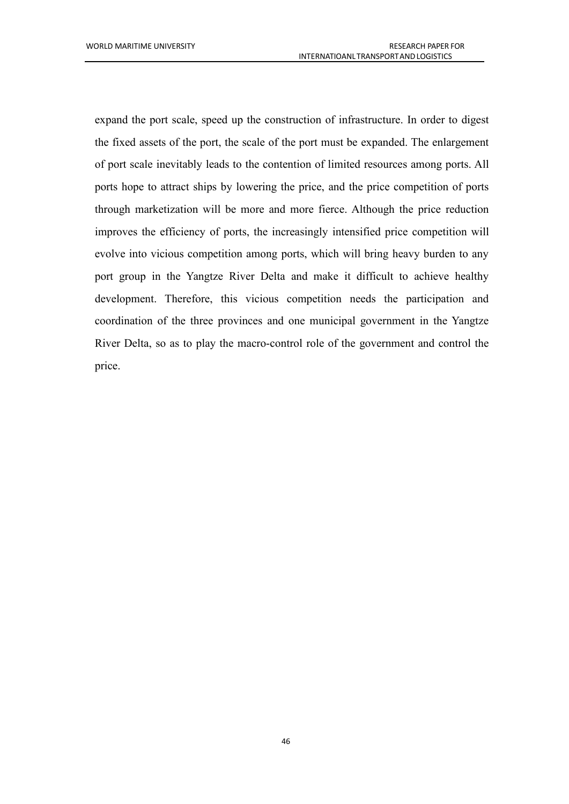expand the port scale, speed up the construction of infrastructure. In order to digest the fixed assets of the port, the scale of the port must be expanded. The enlargement of port scale inevitably leads to the contention of limited resources among ports. All ports hope to attract ships by lowering the price, and the price competition of ports through marketization will be more and more fierce. Although the price reduction improves the efficiency of ports, the increasingly intensified price competition will evolve into vicious competition among ports, which will bring heavy burden to any port group in the Yangtze River Delta and make it difficult to achieve healthy development. Therefore, this vicious competition needs the participation and coordination of the three provinces and one municipal government in the Yangtze River Delta, so as to play the macro-control role of the government and control the price.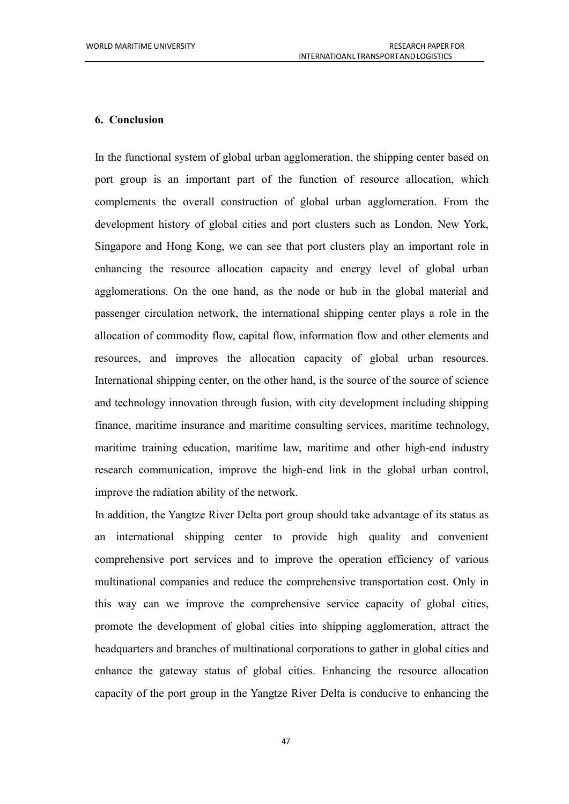### <span id="page-54-0"></span>**6. Conclusion**

In the functional system of global urban agglomeration, the shipping center based on port group is an important part of the function of resource allocation, which complements the overall construction of global urban agglomeration. From the development history of global cities and port clusters such as London, New York, Singapore and Hong Kong, we can see that port clusters play an important role in enhancing the resource allocation capacity and energy level of global urban agglomerations. On the one hand, as the node or hub in the global material and passenger circulation network, the international shipping center plays a role in the allocation of commodity flow, capital flow, information flow and other elements and resources, and improves the allocation capacity of global urban resources.<br>International shipping center, on the other hand, is the source of the source of science and technology innovation through fusion, with city development including shipping finance, maritime insurance and maritime consulting services, maritime technology, maritime training education, maritime law, maritime and other high-end industry research communication, improve the high-end link in the global urban control, improve the radiation ability of the network.

In addition, the Yangtze River Delta port group should take advantage of its status as an international shipping center to provide high quality and convenient comprehensive port services and to improve the operation efficiency of various multinational companies and reduce the comprehensive transportation cost. Only in this way can we improve the comprehensive service capacity of global cities, promote the development of global cities into shipping agglomeration, attract the headquarters and branches of multinational corporations to gather in global cities and enhance the gateway status of global cities. Enhancing the resource allocation capacity of the port group in the Yangtze River Delta is conducive to enhancing the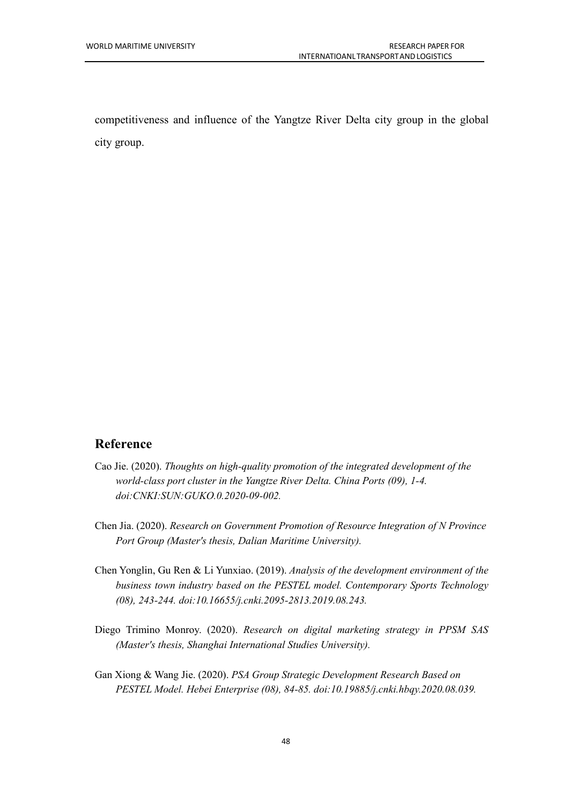competitiveness and influence of the Yangtze River Delta city group in the global city group.

### **Reference**

- Cao Jie. (2020).*Thoughts on high-quality promotion of the integrated development of the world-class port cluster in the Yangtze River Delta.China Ports (09), 1-4. doi:CNKI:SUN:GUKO.0.2020-09-002.*
- Chen Jia. (2020).*Research on Government Promotion of Resource Integration of N Province Port Group (Master's thesis, Dalian Maritime University).*
- Chen Yonglin, Gu Ren & Li Yunxiao. (2019). *Analysis of the development environment of the business town industry based on the PESTEL model. Contemporary Sports Technology (08), 243-244. doi:10.16655/j.cnki.2095-2813.2019.08.243.*
- Diego Trimino Monroy. (2020). *Research on digital marketing strategy in PPSM SAS (Master's thesis, Shanghai International Studies University).*
- Gan Xiong & Wang Jie. (2020).*PSA Group Strategic Development Research Based on PESTEL Model. Hebei Enterprise (08), 84-85. doi:10.19885/j.cnki.hbqy.2020.08.039.*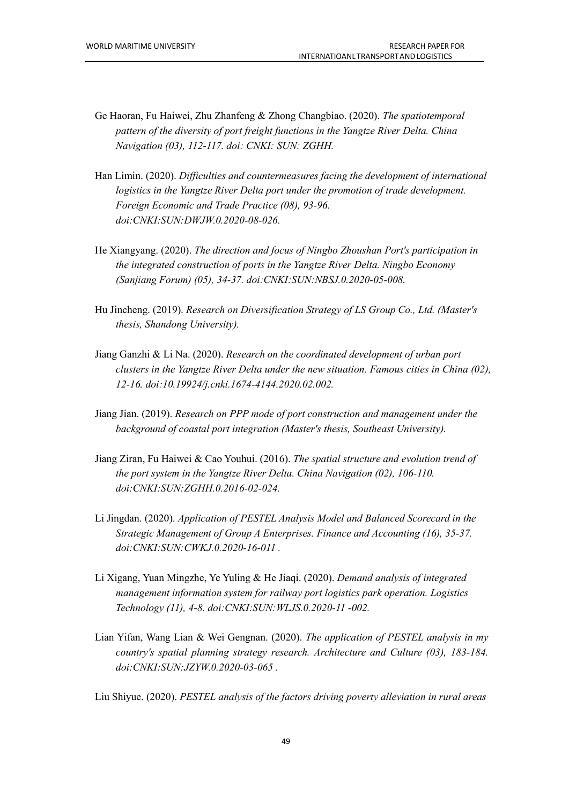- Ge Haoran, Fu Haiwei, Zhu Zhanfeng & Zhong Changbiao.(2020). *The spatiotemporal pattern of the diversity of port freight functions in the Yangtze River Delta.China Navigation (03), 112-117. doi: CNKI: SUN: ZGHH.*
- Han Limin. (2020). *Dif iculties and countermeasures facing the development of international logistics in the Yangtze River Delta port under the promotion of trade development. Foreign Economic and Trade Practice (08), 93-96. doi:CNKI:SUN:DWJW.0.2020-08-026.*
- He Xiangyang. (2020). *The direction and focus of Ningbo Zhoushan Port's participation in the integrated construction of ports in the Yangtze River Delta. Ningbo Economy (Sanjiang Forum) (05), 34-37. doi:CNKI:SUN:NBSJ.0.2020-05-008.*
- Hu Jincheng. (2019). *Research on Diversification Strategy of LS Group Co., Ltd. (Master's thesis, Shandong University).*
- Jiang Ganzhi & Li Na. (2020). *Research on the coordinated development of urban port clusters in the Yangtze River Delta under the new situation. Famous cities in China (02), 12-16. doi:10.19924/j.cnki.1674-4144.2020.02.002.*
- Jiang Jian. (2019). *Research on PPP mode of port construction and management under the background of coastal port integration (Master's thesis, Southeast University).*
- Jiang Ziran, Fu Haiwei & Cao Youhui. (2016). *The spatial structure and evolution trend of the port system in the Yangtze River Delta. China Navigation (02), 106-110. doi:CNKI:SUN:ZGHH.0.2016-02-024.*
- Li Jingdan. (2020). *Application of PESTEL Analysis Model and Balanced Scorecard in the Strategic Management of Group A Enterprises. Finance and Accounting (16), 35-37. doi:CNKI:SUN:CWKJ.0.2020-16-011 .*
- Li Xigang, Yuan Mingzhe, Ye Yuling & He Jiaqi. (2020). *Demand analysis of integrated management information system for railway port logistics park operation. Logistics Technology (11), 4-8. doi:CNKI:SUN:WLJS.0.2020-11 -002.*
- Lian Yifan, Wang Lian & Wei Gengnan. (2020). *The application of PESTEL analysis in my country's spatial planning strategy research. Architecture and Culture (03), 183-184. doi:CNKI:SUN:JZYW.0.2020-03-065 .*

Liu Shiyue. (2020). *PESTEL analysis of the factors driving poverty alleviation in rural areas*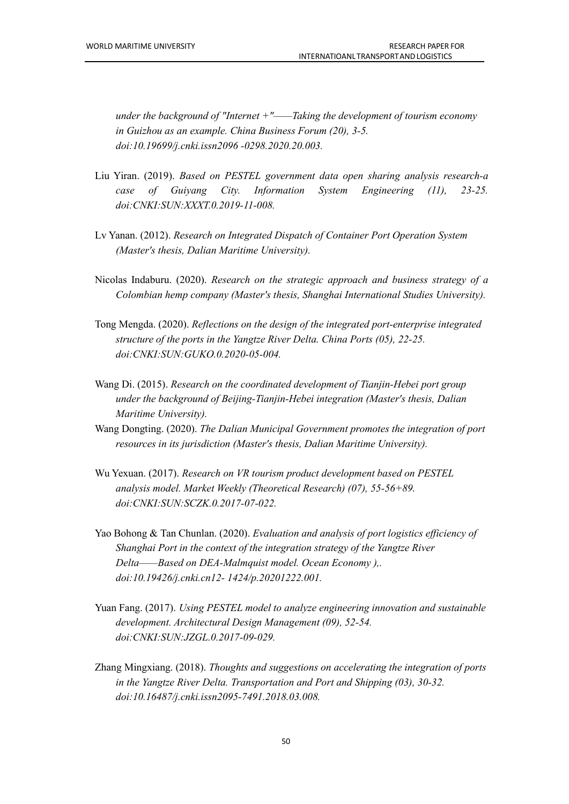*under the background of "Internet +"——Taking the development of tourism economy in Guizhou as an example. China Business Forum (20), 3-5. doi:10.19699/j.cnki.issn2096 -0298.2020.20.003.*

- Liu Yiran. (2019). *Based on PESTEL government data open sharing analysis research-a case of Guiyang City. Information System Engineering (11), 23-25. doi:CNKI:SUN:XXXT.0.2019-11-008.*
- Lv Yanan. (2012). *Research on Integrated Dispatch of Container Port Operation System (Master's thesis, Dalian Maritime University).*
- Nicolas Indaburu. (2020). *Research on the strategic approach and business strategy of a Colombian hemp company (Master's thesis, Shanghai International Studies University).*
- Tong Mengda. (2020). *Reflections on the design of the integrated port-enterprise integrated structure of the ports in the Yangtze River Delta.China Ports (05), 22-25. doi:CNKI:SUN:GUKO.0.2020-05-004.*
- Wang Di. (2015). *Research on the coordinated development of Tianjin-Hebei port group under the background of Beijing-Tianjin-Hebei integration (Master's thesis, Dalian Maritime University).*
- Wang Dongting. (2020). *The Dalian Municipal Government promotes the integration of port resources in its jurisdiction (Master's thesis, Dalian Maritime University).*
- Wu Yexuan. (2017). *Research on VR tourism product development based on PESTEL analysis model. Market Weekly (Theoretical Research) (07), 55-56+89. doi:CNKI:SUN:SCZK.0.2017-07-022.*
- Yao Bohong & Tan Chunlan. (2020). *Evaluation and analysis of port logistics ef iciency of Shanghai Port in the context of the integration strategy of the Yangtze River Delta——Based on DEA-Malmquist model. Ocean Economy ),. doi:10.19426/j.cnki.cn12- 1424/p.20201222.001.*
- Yuan Fang. (2017). *Using PESTEL model to analyze engineering innovation and sustainable development. Architectural Design Management (09), 52-54. doi:CNKI:SUN:JZGL.0.2017-09-029.*
- Zhang Mingxiang. (2018). *Thoughts and suggestions on accelerating the integration of ports in the Yangtze River Delta. Transportation and Port and Shipping (03), 30-32. doi:10.16487/j.cnki.issn2095-7491.2018.03.008.*